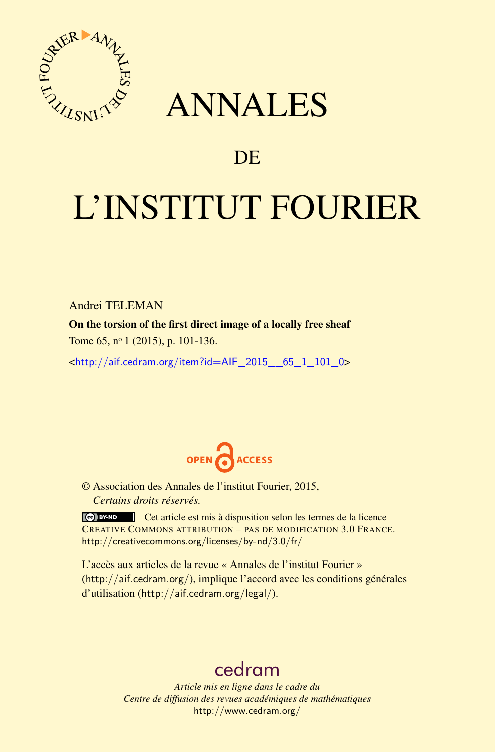

# ANNALES

# **DE**

# L'INSTITUT FOURIER

Andrei TELEMAN

On the torsion of the first direct image of a locally free sheaf Tome 65, n<sup>o</sup> 1 (2015), p. 101-136.

<[http://aif.cedram.org/item?id=AIF\\_2015\\_\\_65\\_1\\_101\\_0](http://aif.cedram.org/item?id=AIF_2015__65_1_101_0)>



© Association des Annales de l'institut Fourier, 2015, *Certains droits réservés.*

Cet article est mis à disposition selon les termes de la licence CREATIVE COMMONS ATTRIBUTION – PAS DE MODIFICATION 3.0 FRANCE. <http://creativecommons.org/licenses/by-nd/3.0/fr/>

L'accès aux articles de la revue « Annales de l'institut Fourier » (<http://aif.cedram.org/>), implique l'accord avec les conditions générales d'utilisation (<http://aif.cedram.org/legal/>).

# [cedram](http://www.cedram.org/)

*Article mis en ligne dans le cadre du Centre de diffusion des revues académiques de mathématiques* <http://www.cedram.org/>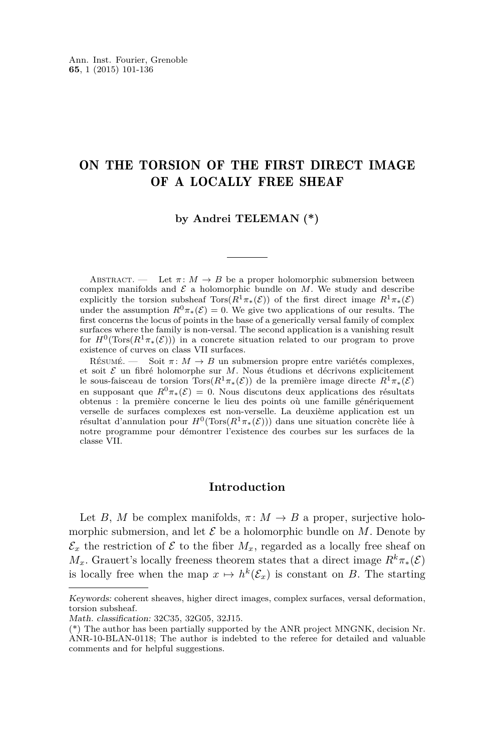# ON THE TORSION OF THE FIRST DIRECT IMAGE OF A LOCALLY FREE SHEAF

# **by Andrei TELEMAN (\*)**

ABSTRACT. — Let  $\pi: M \to B$  be a proper holomorphic submersion between complex manifolds and  $\mathcal E$  a holomorphic bundle on  $M$ . We study and describe explicitly the torsion subsheaf  $Tors(R^1\pi_*(\mathcal{E}))$  of the first direct image  $R^1\pi_*(\mathcal{E})$ under the assumption  $R^0 \pi_*(\mathcal{E}) = 0$ . We give two applications of our results. The first concerns the locus of points in the base of a generically versal family of complex surfaces where the family is non-versal. The second application is a vanishing result for  $H^0(\text{Tors}(R^1\pi_*(\mathcal{E})))$  in a concrete situation related to our program to prove existence of curves on class VII surfaces.

RÉSUMÉ. — Soit  $\pi: M \to B$  un submersion propre entre variétés complexes, et soit  $\mathcal E$  un fibré holomorphe sur  $M$ . Nous étudions et décrivons explicitement le sous-faisceau de torsion  $\text{Tors}(R^1\pi_*(\mathcal{E}))$  de la première image directe  $R^1\pi_*(\mathcal{E})$ en supposant que  $R^0\pi_*(\mathcal{E})=0$ . Nous discutons deux applications des résultats obtenus : la première concerne le lieu des points où une famille génériquement verselle de surfaces complexes est non-verselle. La deuxième application est un résultat d'annulation pour *H*<sup>0</sup> (Tors(*R*1*π*∗(E))) dans une situation concrète liée à notre programme pour démontrer l'existence des courbes sur les surfaces de la classe VII.

## **Introduction**

Let *B*, *M* be complex manifolds,  $\pi: M \to B$  a proper, surjective holomorphic submersion, and let  $\mathcal E$  be a holomorphic bundle on  $M$ . Denote by  $\mathcal{E}_x$  the restriction of  $\mathcal E$  to the fiber  $M_x$ , regarded as a locally free sheaf on *M*<sub>*x*</sub>. Grauert's locally freeness theorem states that a direct image  $R^k \pi_*(\mathcal{E})$ is locally free when the map  $x \mapsto h^k(\mathcal{E}_x)$  is constant on *B*. The starting

Keywords: coherent sheaves, higher direct images, complex surfaces, versal deformation, torsion subsheaf.

Math. classification: 32C35, 32G05, 32J15.

<sup>(\*)</sup> The author has been partially supported by the ANR project MNGNK, decision Nr. ANR-10-BLAN-0118; The author is indebted to the referee for detailed and valuable comments and for helpful suggestions.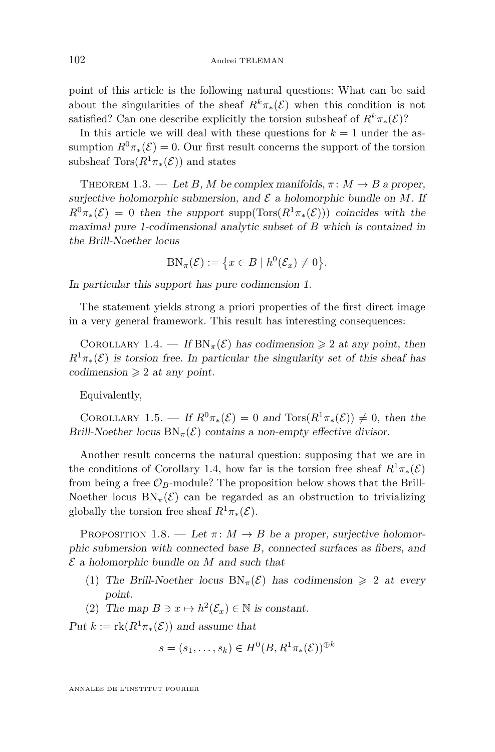point of this article is the following natural questions: What can be said about the singularities of the sheaf  $R^k \pi_*(\mathcal{E})$  when this condition is not satisfied? Can one describe explicitly the torsion subsheaf of  $R^k \pi_*(\mathcal{E})$ ?

In this article we will deal with these questions for  $k = 1$  under the assumption  $R^0\pi_*(\mathcal{E})=0$ . Our first result concerns the support of the torsion subsheaf Tors $(R^1\pi_*(\mathcal{E}))$  and states

THEOREM [1.3.](#page-6-0) — Let *B*, *M* be complex manifolds,  $\pi \colon M \to B$  a proper, surjective holomorphic submersion, and  $\mathcal E$  a holomorphic bundle on  $M$ . If  $R^{0}\pi_{*}(\mathcal{E}) = 0$  then the support supp(Tors( $R^{1}\pi_{*}(\mathcal{E})$ )) coincides with the maximal pure 1-codimensional analytic subset of *B* which is contained in the Brill-Noether locus

$$
BN_{\pi}(\mathcal{E}) := \{ x \in B \mid h^{0}(\mathcal{E}_{x}) \neq 0 \}.
$$

In particular this support has pure codimension 1.

The statement yields strong a priori properties of the first direct image in a very general framework. This result has interesting consequences:

COROLLARY [1.4.](#page-6-0) — If  $BN_\pi(\mathcal{E})$  has codimension  $\geq 2$  at any point, then  $R^1\pi_*(\mathcal{E})$  is torsion free. In particular the singularity set of this sheaf has codimension  $\geq 2$  at any point.

Equivalently,

COROLLARY [1.5.](#page-7-0) — If  $R^0\pi_*(\mathcal{E})=0$  and  $\text{Tors}(R^1\pi_*(\mathcal{E}))\neq 0$ , then the Brill-Noether locus  $BN_\pi(\mathcal{E})$  contains a non-empty effective divisor.

Another result concerns the natural question: supposing that we are in the conditions of Corollary [1.4,](#page-6-0) how far is the torsion free sheaf  $R^1\pi_*(\mathcal{E})$ from being a free  $\mathcal{O}_B$ -module? The proposition below shows that the Brill-Noether locus  $BN_\pi(\mathcal{E})$  can be regarded as an obstruction to trivializing globally the torsion free sheaf  $R^1\pi_*(\mathcal{E})$ .

PROPOSITION [1.8.](#page-9-0) — Let  $\pi: M \to B$  be a proper, surjective holomorphic submersion with connected base *B*, connected surfaces as fibers, and  $\mathcal E$  a holomorphic bundle on  $M$  and such that

- (1) The Brill-Noether locus  $BN_\pi(\mathcal{E})$  has codimension  $\geq 2$  at every point.
- (2) The map  $B \ni x \mapsto h^2(\mathcal{E}_x) \in \mathbb{N}$  is constant.

Put  $k := \text{rk}(R^1 \pi_*(\mathcal{E}))$  and assume that

$$
s = (s_1, \dots, s_k) \in H^0(B, R^1 \pi_* (\mathcal{E}))^{\oplus k}
$$

ANNALES DE L'INSTITUT FOURIER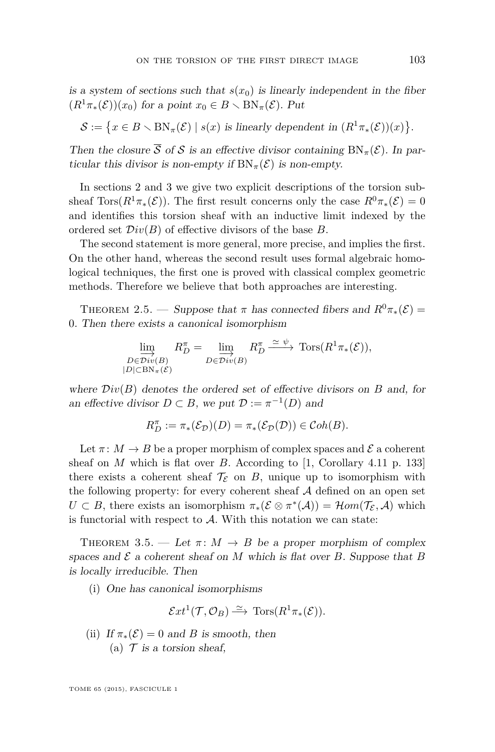is a system of sections such that  $s(x_0)$  is linearly independent in the fiber  $(R^1\pi_*(\mathcal{E}))(x_0)$  for a point  $x_0 \in B \setminus \text{BN}_{\pi}(\mathcal{E})$ . Put

$$
\mathcal{S} := \{ x \in B \setminus \text{BN}_{\pi}(\mathcal{E}) \mid s(x) \text{ is linearly dependent in } (R^1\pi_*(\mathcal{E}))(x) \}.
$$

Then the closure  $\overline{S}$  of S is an effective divisor containing BN<sub>π</sub>(E). In particular this divisor is non-empty if  $BN_\pi(\mathcal{E})$  is non-empty.

In sections [2](#page-10-0) and [3](#page-14-0) we give two explicit descriptions of the torsion subsheaf Tors( $R^1\pi_*(\mathcal{E})$ ). The first result concerns only the case  $R^0\pi_*(\mathcal{E})=0$ and identifies this torsion sheaf with an inductive limit indexed by the ordered set D*iv*(*B*) of effective divisors of the base *B*.

The second statement is more general, more precise, and implies the first. On the other hand, whereas the second result uses formal algebraic homological techniques, the first one is proved with classical complex geometric methods. Therefore we believe that both approaches are interesting.

THEOREM [2.5.](#page-12-0) — Suppose that  $\pi$  has connected fibers and  $R^0\pi_*(\mathcal{E})=$ 0. Then there exists a canonical isomorphism

$$
\lim_{\substack{D \in \mathcal{D}iv(B) \\ |D| \subset \text{BN}_\pi(\mathcal{E})}} R_D^\pi = \lim_{\substack{D \in \mathcal{D}iv(B) \\ D \in \mathcal{D}iv(B)}} R_D^\pi \xrightarrow{\simeq \psi} \text{Tors}(R^1 \pi_*(\mathcal{E})),
$$

where  $Div(B)$  denotes the ordered set of effective divisors on  $B$  and, for an effective divisor  $D \subset B$ , we put  $\mathcal{D} := \pi^{-1}(D)$  and

$$
R_D^{\pi} := \pi_* (\mathcal{E}_\mathcal{D})(D) = \pi_* (\mathcal{E}_\mathcal{D}(D)) \in Coh(B).
$$

Let  $\pi: M \to B$  be a proper morphism of complex spaces and  $\mathcal E$  a coherent sheaf on *M* which is flat over *B*. According to [\[1,](#page-35-0) Corollary 4.11 p. 133] there exists a coherent sheaf  $\mathcal{T}_{\mathcal{E}}$  on *B*, unique up to isomorphism with the following property: for every coherent sheaf  $A$  defined on an open set  $U \subset B$ , there exists an isomorphism  $\pi_*(\mathcal{E} \otimes \pi^*(\mathcal{A})) = \mathcal{H}om(\mathcal{T}_{\mathcal{E}}, \mathcal{A})$  which is functorial with respect to  $A$ . With this notation we can state:

THEOREM [3.5.](#page-20-0) — Let  $\pi: M \to B$  be a proper morphism of complex spaces and  $\mathcal E$  a coherent sheaf on  $M$  which is flat over  $B$ . Suppose that  $B$ is locally irreducible. Then

(i) One has canonical isomorphisms

$$
\mathcal{E}xt^1(\mathcal{T},\mathcal{O}_B) \stackrel{\simeq}{\longrightarrow} \text{Tors}(R^1\pi_*(\mathcal{E})).
$$

(ii) If  $\pi_*(\mathcal{E}) = 0$  and *B* is smooth, then (a)  $\mathcal T$  is a torsion sheaf,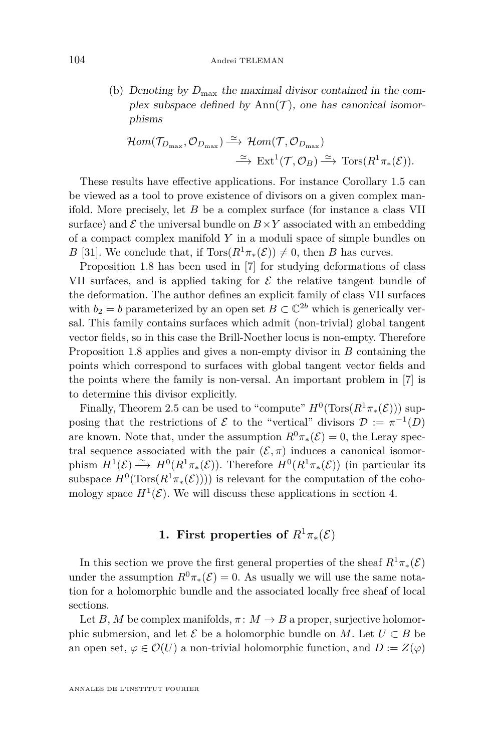(b) Denoting by  $D_{\text{max}}$  the maximal divisor contained in the complex subspace defined by  $\text{Ann}(\mathcal{T})$ , one has canonical isomorphisms

$$
\mathcal{H}om(\mathcal{T}_{D_{\max}}, \mathcal{O}_{D_{\max}}) \xrightarrow{\simeq} \mathcal{H}om(\mathcal{T}, \mathcal{O}_{D_{\max}})
$$
  

$$
\xrightarrow{\simeq} \operatorname{Ext}^1(\mathcal{T}, \mathcal{O}_B) \xrightarrow{\simeq} \operatorname{Tors}(R^1 \pi_*(\mathcal{E})).
$$

These results have effective applications. For instance Corollary [1.5](#page-7-0) can be viewed as a tool to prove existence of divisors on a given complex manifold. More precisely, let *B* be a complex surface (for instance a class VII surface) and  $\mathcal E$  the universal bundle on  $B \times Y$  associated with an embedding of a compact complex manifold *Y* in a moduli space of simple bundles on *B* [\[31\]](#page-36-0). We conclude that, if  $\text{Tors}(R^1\pi_*(\mathcal{E})) \neq 0$ , then *B* has curves.

Proposition [1.8](#page-9-0) has been used in [\[7\]](#page-35-0) for studying deformations of class VII surfaces, and is applied taking for  $\mathcal E$  the relative tangent bundle of the deformation. The author defines an explicit family of class VII surfaces with  $b_2 = b$  parameterized by an open set  $B \subset \mathbb{C}^{2b}$  which is generically versal. This family contains surfaces which admit (non-trivial) global tangent vector fields, so in this case the Brill-Noether locus is non-empty. Therefore Proposition [1.8](#page-9-0) applies and gives a non-empty divisor in *B* containing the points which correspond to surfaces with global tangent vector fields and the points where the family is non-versal. An important problem in [\[7\]](#page-35-0) is to determine this divisor explicitly.

Finally, Theorem [2.5](#page-12-0) can be used to "compute"  $H^0(\text{Tors}(R^1\pi_*(\mathcal{E})))$  supposing that the restrictions of  $\mathcal E$  to the "vertical" divisors  $\mathcal D := \pi^{-1}(D)$ are known. Note that, under the assumption  $R^0\pi_*(\mathcal{E})=0$ , the Leray spectral sequence associated with the pair  $(\mathcal{E}, \pi)$  induces a canonical isomorphism  $H^1(\mathcal{E}) \stackrel{\simeq}{\longrightarrow} H^0(R^1\pi_*(\mathcal{E}))$ . Therefore  $H^0(R^1\pi_*(\mathcal{E}))$  (in particular its subspace  $H^0(\text{Tors}(R^1\pi_*(\mathcal{E}))))$  is relevant for the computation of the cohomology space  $H^1(\mathcal{E})$ . We will discuss these applications in section [4.](#page-22-0)

# **1. First properties of**  $R^1\pi_*(\mathcal{E})$

In this section we prove the first general properties of the sheaf  $R^1\pi_*(\mathcal{E})$ under the assumption  $R^0\pi_*(\mathcal{E})=0$ . As usually we will use the same notation for a holomorphic bundle and the associated locally free sheaf of local sections.

Let *B*, *M* be complex manifolds,  $\pi: M \to B$  a proper, surjective holomorphic submersion, and let  $\mathcal{E}$  be a holomorphic bundle on *M*. Let  $U \subset B$  be an open set,  $\varphi \in \mathcal{O}(U)$  a non-trivial holomorphic function, and  $D := Z(\varphi)$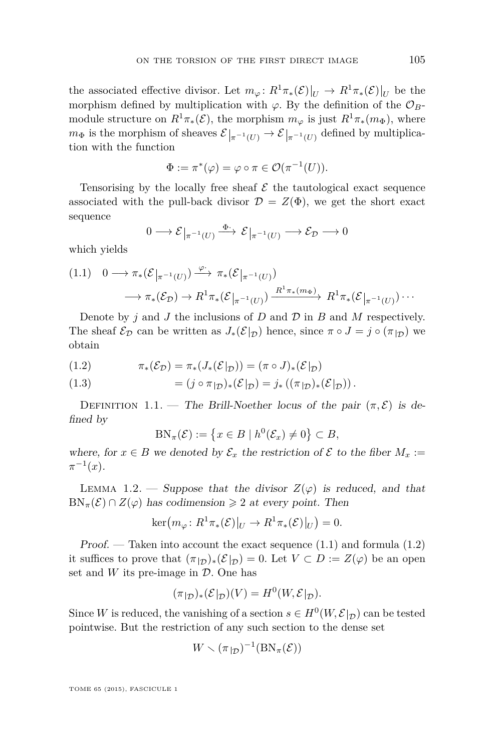<span id="page-5-0"></span>the associated effective divisor. Let  $m_{\varphi} \colon R^1 \pi_*(\mathcal{E})|_{U} \to R^1 \pi_*(\mathcal{E})|_{U}$  be the morphism defined by multiplication with  $\varphi$ . By the definition of the  $\mathcal{O}_B$ module structure on  $R^1\pi_*(\mathcal{E})$ , the morphism  $m_\varphi$  is just  $R^1\pi_*(m_\Phi)$ , where  $m_{\Phi}$  is the morphism of sheaves  $\mathcal{E}|_{\pi^{-1}(U)} \to \mathcal{E}|_{\pi^{-1}(U)}$  defined by multiplication with the function

$$
\Phi:=\pi^*(\varphi)=\varphi\circ\pi\in\mathcal{O}(\pi^{-1}(U)).
$$

Tensorising by the locally free sheaf  $\mathcal E$  the tautological exact sequence associated with the pull-back divisor  $\mathcal{D} = Z(\Phi)$ , we get the short exact sequence

$$
0 \longrightarrow \mathcal{E}|_{\pi^{-1}(U)} \xrightarrow{\Phi} \mathcal{E}|_{\pi^{-1}(U)} \longrightarrow \mathcal{E}_{\mathcal{D}} \longrightarrow 0
$$

which yields

$$
(1.1) \quad 0 \longrightarrow \pi_*(\mathcal{E}|_{\pi^{-1}(U)}) \xrightarrow{\varphi} \pi_*(\mathcal{E}|_{\pi^{-1}(U)})
$$

$$
\longrightarrow \pi_*(\mathcal{E}_\mathcal{D}) \longrightarrow R^1 \pi_*(\mathcal{E}|_{\pi^{-1}(U)}) \xrightarrow{R^1 \pi_*(m_\Phi)} R^1 \pi_*(\mathcal{E}|_{\pi^{-1}(U)}) \cdots
$$

Denote by  $j$  and  $J$  the inclusions of  $D$  and  $D$  in  $B$  and  $M$  respectively. The sheaf  $\mathcal{E}_{\mathcal{D}}$  can be written as  $J_*(\mathcal{E}|_{\mathcal{D}})$  hence, since  $\pi \circ J = j \circ (\pi|_{\mathcal{D}})$  we obtain

$$
(1.2) \qquad \qquad \pi_*(\mathcal{E}_\mathcal{D}) = \pi_*(J_*(\mathcal{E}|_\mathcal{D})) = (\pi \circ J)_*(\mathcal{E}|_\mathcal{D})
$$

(1.3) 
$$
= (j \circ \pi_{|D})_* (\mathcal{E}|_{D}) = j_* ((\pi_{|D})_* (\mathcal{E}|_{D})).
$$

DEFINITION 1.1. — The Brill-Noether locus of the pair  $(\pi, \mathcal{E})$  is defined by

$$
BN_{\pi}(\mathcal{E}) := \{ x \in B \mid h^{0}(\mathcal{E}_{x}) \neq 0 \} \subset B,
$$

where, for  $x \in B$  we denoted by  $\mathcal{E}_x$  the restriction of  $\mathcal E$  to the fiber  $M_x :=$  $\pi^{-1}(x)$ .

LEMMA 1.2. — Suppose that the divisor  $Z(\varphi)$  is reduced, and that  $BN_\pi(\mathcal{E}) \cap Z(\varphi)$  has codimension  $\geq 2$  at every point. Then

$$
\ker(m_{\varphi} \colon R^1 \pi_* (\mathcal{E})|_U \to R^1 \pi_* (\mathcal{E})|_U = 0.
$$

*Proof.* — Taken into account the exact sequence  $(1.1)$  and formula  $(1.2)$ it suffices to prove that  $(\pi_{\vert \mathcal{D}})_*(\mathcal{E}_{\vert \mathcal{D}})=0$ . Let  $V \subset D := Z(\varphi)$  be an open set and  $W$  its pre-image in  $\mathcal{D}$ . One has

$$
(\pi_{|\mathcal{D}})_*(\mathcal{E}|_{\mathcal{D}})(V) = H^0(W, \mathcal{E}|_{\mathcal{D}}).
$$

Since *W* is reduced, the vanishing of a section  $s \in H^0(W, \mathcal{E}|_{\mathcal{D}})$  can be tested pointwise. But the restriction of any such section to the dense set

$$
W \smallsetminus (\pi_{|\mathcal{D}})^{-1}(\mathrm{BN}_{\pi}(\mathcal{E}))
$$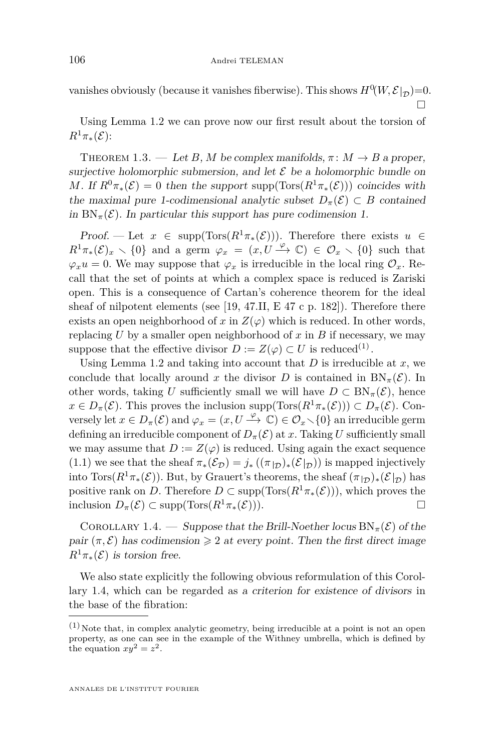<span id="page-6-0"></span>vanishes obviously (because it vanishes fiberwise). This shows  $H^0(W, \mathcal{E}|_{\mathcal{D}}) = 0$ .  $\Box$ 

Using Lemma [1.2](#page-5-0) we can prove now our first result about the torsion of  $R^1\pi_*({\mathcal E})$ :

THEOREM 1.3. — Let *B*, *M* be complex manifolds,  $\pi: M \to B$  a proper. surjective holomorphic submersion, and let  $\mathcal E$  be a holomorphic bundle on *M*. If  $R^0\pi_*(\mathcal{E}) = 0$  then the support supp( $\text{Tors}(R^1\pi_*(\mathcal{E}))$ ) coincides with the maximal pure 1-codimensional analytic subset  $D_{\pi}(\mathcal{E}) \subset B$  contained in  $BN_\pi(\mathcal{E})$ . In particular this support has pure codimension 1.

Proof. — Let  $x \in \text{supp}(\text{Tors}(R^1\pi_*(\mathcal{E})))$ . Therefore there exists  $u \in$  $R^1\pi_*(\mathcal{E})_x \setminus \{0\}$  and a germ  $\varphi_x = (x, U \xrightarrow{\varphi} \mathbb{C}) \in \mathcal{O}_x \setminus \{0\}$  such that  $\varphi_x u = 0$ . We may suppose that  $\varphi_x$  is irreducible in the local ring  $\mathcal{O}_x$ . Recall that the set of points at which a complex space is reduced is Zariski open. This is a consequence of Cartan's coherence theorem for the ideal sheaf of nilpotent elements (see [\[19,](#page-36-0) 47.II, E 47 c p. 182]). Therefore there exists an open neighborhood of x in  $Z(\varphi)$  which is reduced. In other words, replacing  $U$  by a smaller open neighborhood of  $x$  in  $B$  if necessary, we may suppose that the effective divisor  $D := Z(\varphi) \subset U$  is reduced<sup>(1)</sup>.

Using Lemma [1.2](#page-5-0) and taking into account that *D* is irreducible at *x*, we conclude that locally around *x* the divisor *D* is contained in  $BN_\pi(\mathcal{E})$ . In other words, taking *U* sufficiently small we will have  $D \subset BN_{\pi}(\mathcal{E})$ , hence  $x \in D_{\pi}(\mathcal{E})$ . This proves the inclusion supp(Tors $(R^1\pi_*(\mathcal{E})) \subset D_{\pi}(\mathcal{E})$ . Conversely let  $x \in D_{\overline{n}}(\mathcal{E})$  and  $\varphi_x = (x, U \stackrel{\varphi}{\to} \mathbb{C}) \in \mathcal{O}_x \setminus \{0\}$  an irreducible germ defining an irreducible component of  $D_{\pi}(\mathcal{E})$  at *x*. Taking *U* sufficiently small we may assume that  $D := Z(\varphi)$  is reduced. Using again the exact sequence [\(1.1\)](#page-5-0) we see that the sheaf  $\pi_*(\mathcal{E}_D) = j_*((\pi_{\vert D})_*(\mathcal{E}_{\vert D}))$  is mapped injectively into Tors $(R^1\pi_*(\mathcal{E}))$ . But, by Grauert's theorems, the sheaf  $(\pi_{\mathcal{D}})_*(\mathcal{E}_{\mathcal{D}})$  has positive rank on *D*. Therefore  $D \subset \text{supp}(\text{Tors}(R^1\pi_*(\mathcal{E}))),$  which proves the inclusion  $D_{\pi}(\mathcal{E}) \subset \text{supp}(\text{Tors}(R^1\pi_*(\mathcal{E}))).$ 

COROLLARY 1.4. — Suppose that the Brill-Noether locus  $BN_\pi(\mathcal{E})$  of the pair  $(\pi, \mathcal{E})$  has codimension  $\geq 2$  at every point. Then the first direct image  $R^1\pi_*({\mathcal E})$  is torsion free.

We also state explicitly the following obvious reformulation of this Corollary 1.4, which can be regarded as a criterion for existence of divisors in the base of the fibration:

 $(1)$ Note that, in complex analytic geometry, being irreducible at a point is not an open property, as one can see in the example of the Withney umbrella, which is defined by the equation  $xy^2 = z^2$ .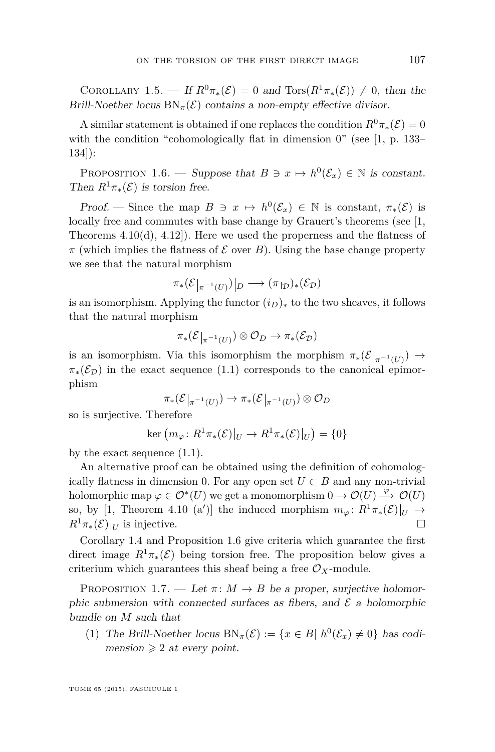<span id="page-7-0"></span>COROLLARY 1.5. — If  $R^0\pi_*(\mathcal{E})=0$  and  $\text{Tors}(R^1\pi_*(\mathcal{E}))\neq 0$ , then the Brill-Noether locus  $BN_\pi(\mathcal{E})$  contains a non-empty effective divisor.

A similar statement is obtained if one replaces the condition  $R^0\pi_*(\mathcal{E})=0$ with the condition "cohomologically flat in dimension 0" (see [\[1,](#page-35-0) p. 133– 134]):

PROPOSITION 1.6. — Suppose that  $B \ni x \mapsto h^0(\mathcal{E}_x) \in \mathbb{N}$  is constant. Then  $R^1\pi_*(\mathcal{E})$  is torsion free.

Proof. — Since the map  $B \ni x \mapsto h^0(\mathcal{E}_x) \in \mathbb{N}$  is constant,  $\pi_*(\mathcal{E})$  is locally free and commutes with base change by Grauert's theorems (see [\[1,](#page-35-0) Theorems 4.10(d), 4.12]). Here we used the properness and the flatness of  $\pi$  (which implies the flatness of  $\mathcal E$  over *B*). Using the base change property we see that the natural morphism

$$
\pi_* (\mathcal{E}|_{\pi^{-1}(U)})|_D \longrightarrow (\pi|_{\mathcal{D}})_* (\mathcal{E}_{\mathcal{D}})
$$

is an isomorphism. Applying the functor  $(i_D)_*$  to the two sheaves, it follows that the natural morphism

$$
\pi_*({\mathcal E} |_{\pi^{-1}(U)}) \otimes {\mathcal{O}}_D \to \pi_*({\mathcal{E}}_{\mathcal{D}})
$$

is an isomorphism. Via this isomorphism the morphism  $\pi_*(\mathcal{E}|_{\pi^{-1}(U)}) \to$  $\pi_*(\mathcal{E}_\mathcal{D})$  in the exact sequence [\(1.1\)](#page-5-0) corresponds to the canonical epimorphism

$$
\pi_*({\mathcal E}|_{\pi^{-1}(U)}) \to \pi_*({\mathcal E}|_{\pi^{-1}(U)}) \otimes {\mathcal O}_D
$$

so is surjective. Therefore

$$
\ker (m_{\varphi} \colon R^1 \pi_* (\mathcal{E})|_U \to R^1 \pi_* (\mathcal{E})|_U) = \{0\}
$$

by the exact sequence [\(1.1\)](#page-5-0).

An alternative proof can be obtained using the definition of cohomologically flatness in dimension 0. For any open set  $U \subset B$  and any non-trivial holomorphic map  $\varphi \in \mathcal{O}^*(U)$  we get a monomorphism  $0 \to \mathcal{O}(U) \xrightarrow{\varphi} \mathcal{O}(U)$ so, by [\[1,](#page-35-0) Theorem 4.10 (a')] the induced morphism  $m_{\varphi}: R^1 \pi_* (\mathcal{E})|_{U} \to$  $R^1\pi_*(\mathcal{E})|_U$  is injective.

Corollary [1.4](#page-6-0) and Proposition 1.6 give criteria which guarantee the first direct image  $R^1\pi_*(\mathcal{E})$  being torsion free. The proposition below gives a criterium which guarantees this sheaf being a free  $\mathcal{O}_X$ -module.

PROPOSITION 1.7. — Let  $\pi: M \to B$  be a proper, surjective holomorphic submersion with connected surfaces as fibers, and  $\mathcal E$  a holomorphic bundle on *M* such that

(1) The Brill-Noether locus  $BN_\pi(\mathcal{E}) := \{x \in B | h^0(\mathcal{E}_x) \neq 0\}$  has codimension  $\geqslant 2$  at every point.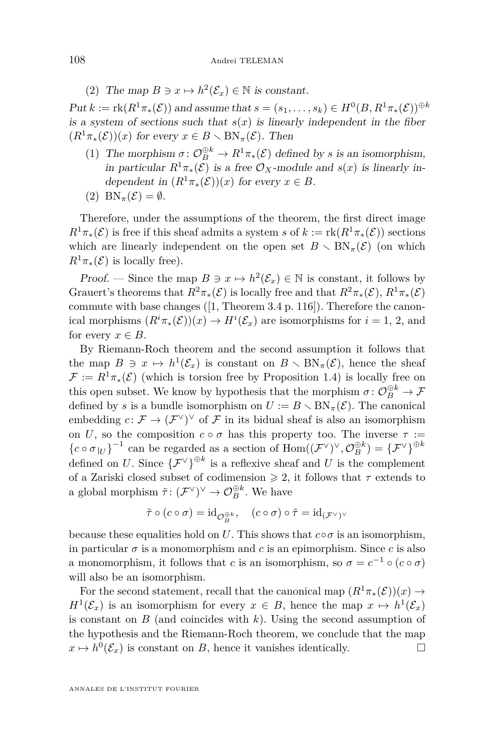(2) The map  $B \ni x \mapsto h^2(\mathcal{E}_x) \in \mathbb{N}$  is constant.

 $Put\ k := \mathrm{rk}(R^1\pi_*(\mathcal{E}))\ \text{and assume that}\ s = (s_1,\ldots,s_k)\in H^0(B,R^1\pi_*(\mathcal{E}))^{\oplus k}$ is a system of sections such that  $s(x)$  is linearly independent in the fiber  $(R^{1}\pi_{*}(\mathcal{E}))(x)$  for every  $x \in B \setminus \text{BN}_{\pi}(\mathcal{E})$ . Then

- (1) The morphism  $\sigma: \mathcal{O}_{B}^{\oplus k} \to R^{1}\pi_{*}(\mathcal{E})$  defined by *s* is an isomorphism, in particular  $R^1\pi_*(\mathcal{E})$  is a free  $\mathcal{O}_X$ -module and  $s(x)$  is linearly independent in  $(R^1\pi_*(\mathcal{E}))(x)$  for every  $x \in B$ .
- $(2)$  BN<sub>π</sub> $(\mathcal{E}) = \emptyset$ .

Therefore, under the assumptions of the theorem, the first direct image  $R^1\pi_*(\mathcal{E})$  is free if this sheaf admits a system *s* of  $k := \text{rk}(R^1\pi_*(\mathcal{E}))$  sections which are linearly independent on the open set  $B \setminus BN_\pi(\mathcal{E})$  (on which  $R^1\pi_*(\mathcal{E})$  is locally free).

Proof. — Since the map  $B \ni x \mapsto h^2(\mathcal{E}_x) \in \mathbb{N}$  is constant, it follows by Grauert's theorems that  $R^2 \pi_*(\mathcal{E})$  is locally free and that  $R^2 \pi_*(\mathcal{E})$ ,  $R^1 \pi_*(\mathcal{E})$ commute with base changes ([\[1,](#page-35-0) Theorem 3.4 p. 116]). Therefore the canonical morphisms  $(R^i \pi_*(\mathcal{E}))(x) \to H^i(\mathcal{E}_x)$  are isomorphisms for  $i = 1, 2$ , and for every  $x \in B$ .

By Riemann-Roch theorem and the second assumption it follows that the map  $B \ni x \mapsto h^1(\mathcal{E}_x)$  is constant on  $B \setminus BN_\pi(\mathcal{E})$ , hence the sheaf  $\mathcal{F} := R^1 \pi_*(\mathcal{E})$  (which is torsion free by Proposition [1.4\)](#page-6-0) is locally free on this open subset. We know by hypothesis that the morphism  $\sigma: \mathcal{O}_{B}^{\oplus k} \to \mathcal{F}$ defined by *s* is a bundle isomorphism on  $U := B \setminus BN_\pi(\mathcal{E})$ . The canonical embedding  $c \colon \mathcal{F} \to (\mathcal{F}^{\vee})^{\vee}$  of  $\mathcal{F}$  in its bidual sheaf is also an isomorphism on *U*, so the composition  $c \circ \sigma$  has this property too. The inverse  $\tau :=$  ${c \circ \sigma_{|U}}^{-1}$  can be regarded as a section of  $\text{Hom}((\mathcal{F}^{\vee})^{\vee}, \mathcal{O}_{B}^{\oplus k}) = {\{\mathcal{F}^{\vee}\}}^{\oplus k}$ defined on *U*. Since  $\{\mathcal{F}^{\vee}\}\oplus^k$  is a reflexive sheaf and *U* is the complement of a Zariski closed subset of codimension  $\geq 2$ , it follows that  $\tau$  extends to a global morphism  $\tilde{\tau} : (\mathcal{F}^{\vee})^{\vee} \to \mathcal{O}_{B}^{\oplus k}$ . We have

$$
\tilde{\tau} \circ (c \circ \sigma) = \mathrm{id}_{\mathcal{O}_B^{\oplus k}}, \quad (c \circ \sigma) \circ \tilde{\tau} = \mathrm{id}_{(\mathcal{F}^{\vee})^{\vee}}
$$

because these equalities hold on *U*. This shows that  $c \circ \sigma$  is an isomorphism, in particular  $\sigma$  is a monomorphism and c is an epimorphism. Since c is also a monomorphism, it follows that *c* is an isomorphism, so  $\sigma = c^{-1} \circ (c \circ \sigma)$ will also be an isomorphism.

For the second statement, recall that the canonical map  $(R^1\pi_*(\mathcal{E}))(x) \to$  $H^1(\mathcal{E}_x)$  is an isomorphism for every  $x \in B$ , hence the map  $x \mapsto h^1(\mathcal{E}_x)$ is constant on  $B$  (and coincides with  $k$ ). Using the second assumption of the hypothesis and the Riemann-Roch theorem, we conclude that the map  $x \mapsto h^0(\mathcal{E}_x)$  is constant on *B*, hence it vanishes identically.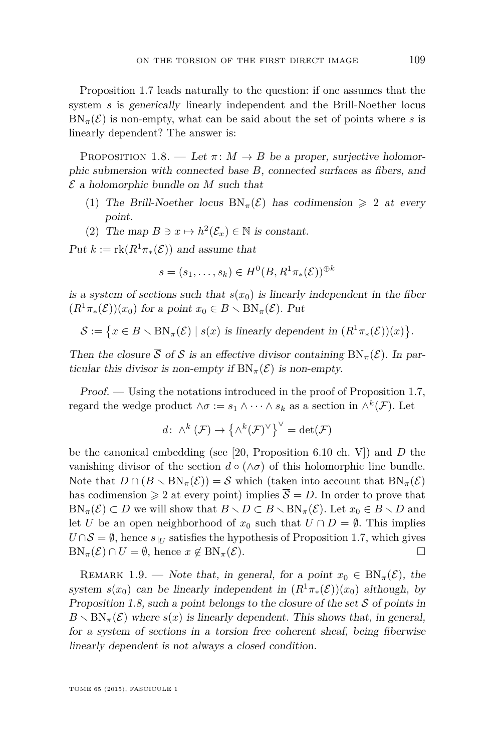<span id="page-9-0"></span>Proposition [1.7](#page-7-0) leads naturally to the question: if one assumes that the system *s* is generically linearly independent and the Brill-Noether locus  $BN_\pi(\mathcal{E})$  is non-empty, what can be said about the set of points where *s* is linearly dependent? The answer is:

PROPOSITION 1.8. — Let  $\pi: M \to B$  be a proper, surjective holomorphic submersion with connected base *B*, connected surfaces as fibers, and  $\mathcal E$  a holomorphic bundle on  $M$  such that

- (1) The Brill-Noether locus  $BN_\pi(\mathcal{E})$  has codimension  $\geq 2$  at every point.
- (2) The map  $B \ni x \mapsto h^2(\mathcal{E}_x) \in \mathbb{N}$  is constant.

Put  $k := \text{rk}(R^1 \pi_*(\mathcal{E}))$  and assume that

$$
s = (s_1, \dots, s_k) \in H^0(B, R^1 \pi_* (\mathcal{E}))^{\oplus k}
$$

is a system of sections such that  $s(x_0)$  is linearly independent in the fiber  $(R^1\pi_*(\mathcal{E}))(x_0)$  for a point  $x_0 \in B \setminus \text{BN}_{\pi}(\mathcal{E})$ . Put

 $\mathcal{S} := \{x \in B \setminus \text{BN}_{\pi}(\mathcal{E}) \mid s(x) \text{ is linearly dependent in } (R^1\pi_*(\mathcal{E}))(x)\}.$ 

Then the closure  $\overline{S}$  of S is an effective divisor containing  $BN_\pi(\mathcal{E})$ . In particular this divisor is non-empty if  $BN_\pi(\mathcal{E})$  is non-empty.

Proof. — Using the notations introduced in the proof of Proposition [1.7,](#page-7-0) regard the wedge product  $\wedge \sigma := s_1 \wedge \cdots \wedge s_k$  as a section in  $\wedge^k(\mathcal{F})$ . Let

$$
d\colon \wedge^k(\mathcal{F}) \to \left\{ \wedge^k(\mathcal{F})^{\vee} \right\}^{\vee} = \det(\mathcal{F})
$$

be the canonical embedding (see [\[20,](#page-36-0) Proposition 6.10 ch. V]) and *D* the vanishing divisor of the section  $d \circ (\wedge \sigma)$  of this holomorphic line bundle. Note that  $D \cap (B \setminus BN_\pi(\mathcal{E})) = S$  which (taken into account that  $BN_\pi(\mathcal{E})$ ) has codimension  $\geq 2$  at every point) implies  $\overline{S} = D$ . In order to prove that  $BN_\pi(\mathcal{E}) \subset D$  we will show that  $B \setminus D \subset B \setminus BN_\pi(\mathcal{E})$ . Let  $x_0 \in B \setminus D$  and let *U* be an open neighborhood of  $x_0$  such that  $U \cap D = \emptyset$ . This implies  $U \cap S = \emptyset$ , hence  $s|_U$  satisfies the hypothesis of Proposition [1.7,](#page-7-0) which gives  $\text{BN}_{\pi}(\mathcal{E}) \cap U = \emptyset$ , hence  $x \notin \text{BN}_{\pi}(\mathcal{E})$ .

REMARK 1.9. — Note that, in general, for a point  $x_0 \in BN_\pi(\mathcal{E})$ , the system  $s(x_0)$  can be linearly independent in  $(R^1\pi_*(\mathcal{E}))(x_0)$  although, by Proposition 1.8, such a point belongs to the closure of the set  $S$  of points in  $B \setminus BN_\pi(\mathcal{E})$  where  $s(x)$  is linearly dependent. This shows that, in general, for a system of sections in a torsion free coherent sheaf, being fiberwise linearly dependent is not always a closed condition.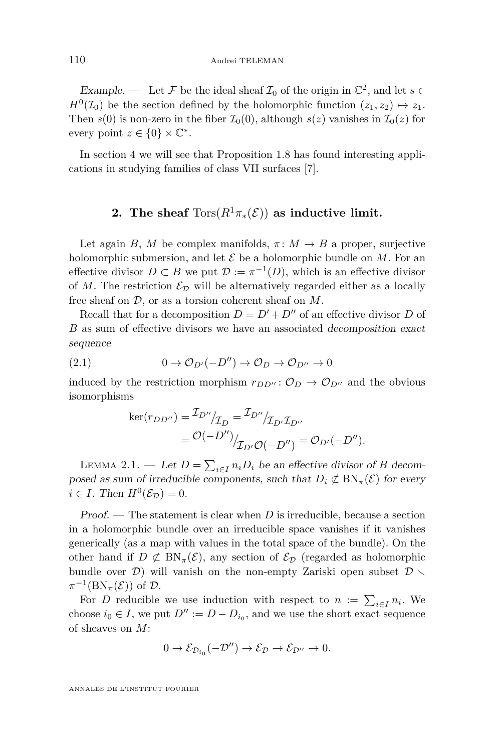<span id="page-10-0"></span>Example. — Let  $\mathcal F$  be the ideal sheaf  $\mathcal I_0$  of the origin in  $\mathbb C^2$ , and let  $s \in \mathbb C$  $H^0(\mathcal{I}_0)$  be the section defined by the holomorphic function  $(z_1, z_2) \mapsto z_1$ . Then  $s(0)$  is non-zero in the fiber  $\mathcal{I}_0(0)$ , although  $s(z)$  vanishes in  $\mathcal{I}_0(z)$  for every point  $z \in \{0\} \times \mathbb{C}^*$ .

In section [4](#page-22-0) we will see that Proposition [1.8](#page-9-0) has found interesting applications in studying families of class VII surfaces [\[7\]](#page-35-0).

# **2.** The sheaf  $\text{Tors}(R^1\pi_*(\mathcal{E}))$  as inductive limit.

Let again *B*, *M* be complex manifolds,  $\pi: M \to B$  a proper, surjective holomorphic submersion, and let  $\mathcal E$  be a holomorphic bundle on M. For an effective divisor  $D \subset B$  we put  $\mathcal{D} := \pi^{-1}(D)$ , which is an effective divisor of M. The restriction  $\mathcal{E}_{\mathcal{D}}$  will be alternatively regarded either as a locally free sheaf on D, or as a torsion coherent sheaf on *M*.

Recall that for a decomposition  $D = D' + D''$  of an effective divisor *D* of *B* as sum of effective divisors we have an associated decomposition exact sequence

(2.1) 
$$
0 \to \mathcal{O}_{D'}(-D'') \to \mathcal{O}_D \to \mathcal{O}_{D''} \to 0
$$

induced by the restriction morphism  $r_{DD''}$ :  $\mathcal{O}_D \rightarrow \mathcal{O}_{D''}$  and the obvious isomorphisms

$$
\begin{aligned} \ker(r_{DD''}) &= \frac{\mathcal{I}_{D''}}{\mathcal{I}_D} = \frac{\mathcal{I}_{D''}}{\mathcal{I}_{D'}\mathcal{I}_{D''}} \\ &= \frac{\mathcal{O}(-D'')}{\mathcal{I}_{D'}\mathcal{O}(-D'')} = \mathcal{O}_{D'}(-D''). \end{aligned}
$$

LEMMA 2.1. — Let  $D = \sum_{i \in I} n_i D_i$  be an effective divisor of *B* decomposed as sum of irreducible components, such that  $D_i \not\subset BN_{\pi}(E)$  for every  $i \in I$ . Then  $H^0(\mathcal{E}_D) = 0$ .

Proof. — The statement is clear when *D* is irreducible, because a section in a holomorphic bundle over an irreducible space vanishes if it vanishes generically (as a map with values in the total space of the bundle). On the other hand if  $D \not\subset BN_\pi(\mathcal{E})$ , any section of  $\mathcal{E}_\mathcal{D}$  (regarded as holomorphic bundle over D) will vanish on the non-empty Zariski open subset  $\mathcal{D} \setminus$  $\pi^{-1}(\mathrm{BN}_{\pi}(\mathcal{E}))$  of  $\mathcal{D}$ .

For *D* reducible we use induction with respect to  $n := \sum_{i \in I} n_i$ . We choose  $i_0 \in I$ , we put  $D'' := D - D_{i_0}$ , and we use the short exact sequence of sheaves on *M*:

$$
0 \to \mathcal{E}_{\mathcal{D}_{i_0}}(-\mathcal{D}'') \to \mathcal{E}_{\mathcal{D}} \to \mathcal{E}_{\mathcal{D}''} \to 0.
$$

ANNALES DE L'INSTITUT FOURIER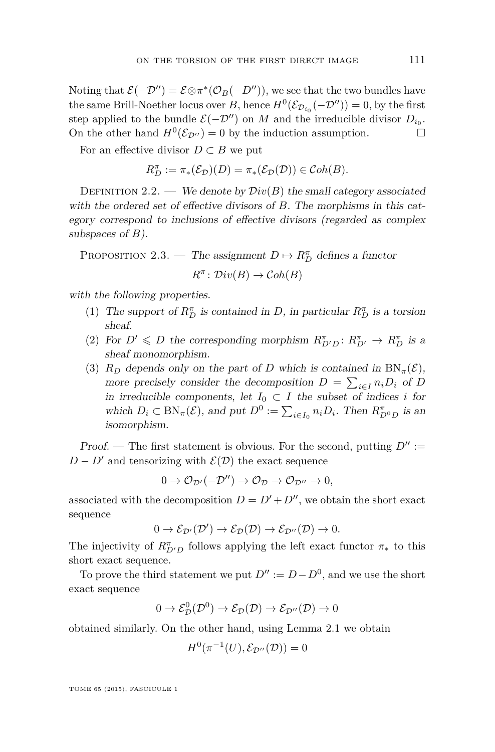<span id="page-11-0"></span>Noting that  $\mathcal{E}(-\mathcal{D}'') = \mathcal{E} \otimes \pi^*(\mathcal{O}_B(-D''))$ , we see that the two bundles have the same Brill-Noether locus over *B*, hence  $H^0(\mathcal{E}_{\mathcal{D}_{i_0}}(-\mathcal{D}''))=0$ , by the first step applied to the bundle  $\mathcal{E}(-\mathcal{D}'')$  on *M* and the irreducible divisor  $D_{i_0}$ . On the other hand  $H^0(\mathcal{E}_{\mathcal{D}''}) = 0$  by the induction assumption.

For an effective divisor  $D \subset B$  we put

$$
R_D^{\pi} := \pi_* (\mathcal{E}_\mathcal{D})(D) = \pi_* (\mathcal{E}_\mathcal{D}(\mathcal{D})) \in Coh(B).
$$

DEFINITION 2.2. — We denote by  $\mathcal{D}iv(B)$  the small category associated with the ordered set of effective divisors of *B*. The morphisms in this category correspond to inclusions of effective divisors (regarded as complex subspaces of *B*).

PROPOSITION 2.3. — The assignment  $D \mapsto R_D^{\pi}$  defines a functor

 $R^{\pi}$ :  $Div(B) \rightarrow Coh(B)$ 

with the following properties.

- (1) The support of  $R_D^{\pi}$  is contained in *D*, in particular  $R_D^{\pi}$  is a torsion sheaf.
- (2) For  $D' \le D$  the corresponding morphism  $R_{D'D}^{\pi}: R_{D'}^{\pi} \to R_D^{\pi}$  is a sheaf monomorphism.
- (3)  $R_D$  depends only on the part of *D* which is contained in  $BN_\pi(\mathcal{E}),$ more precisely consider the decomposition  $D = \sum_{i \in I} n_i D_i$  of *D* in irreducible components, let  $I_0 \subset I$  the subset of indices *i* for which  $D_i \subset BN_\pi(\mathcal{E})$ , and put  $D^0 := \sum_{i \in I_0} n_i D_i$ . Then  $R_{D^0D}^{\pi}$  is an isomorphism.

Proof. — The first statement is obvious. For the second, putting  $D'' :=$  $D - D'$  and tensorizing with  $\mathcal{E}(\mathcal{D})$  the exact sequence

$$
0 \to \mathcal{O}_{\mathcal{D}'}(-\mathcal{D}'') \to \mathcal{O}_{\mathcal{D}} \to \mathcal{O}_{\mathcal{D}''} \to 0,
$$

associated with the decomposition  $D = D' + D''$ , we obtain the short exact sequence

$$
0 \to \mathcal{E}_{\mathcal{D}'}(\mathcal{D}') \to \mathcal{E}_{\mathcal{D}}(\mathcal{D}) \to \mathcal{E}_{\mathcal{D}''}(\mathcal{D}) \to 0.
$$

The injectivity of  $R^{\pi}_{D^{\prime}D}$  follows applying the left exact functor  $\pi_*$  to this short exact sequence.

To prove the third statement we put  $D'' := D - D^0$ , and we use the short exact sequence

$$
0 \to \mathcal{E}_{\mathcal{D}}^{0}(\mathcal{D}^{0}) \to \mathcal{E}_{\mathcal{D}}(\mathcal{D}) \to \mathcal{E}_{\mathcal{D}''}(\mathcal{D}) \to 0
$$

obtained similarly. On the other hand, using Lemma [2.1](#page-10-0) we obtain

$$
H^0(\pi^{-1}(U), \mathcal{E}_{\mathcal{D}''}(\mathcal{D})) = 0
$$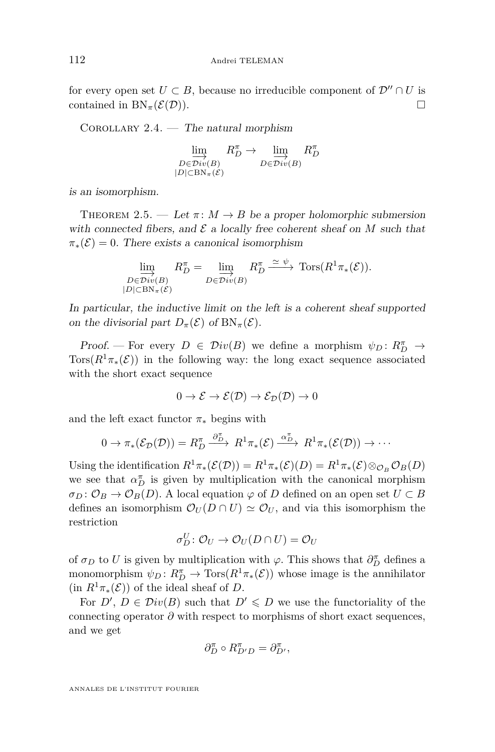<span id="page-12-0"></span>for every open set  $U \subset B$ , because no irreducible component of  $\mathcal{D}^{\prime\prime} \cap U$  is contained in  $BN_{\pi}(\mathcal{E}(\mathcal{D}))$ .

COROLLARY  $2.4.$  — The natural morphism

$$
\lim_{\substack{D \in \mathcal{D}iv(B) \\ |D| \subset \text{BN}_{\pi}(\mathcal{E})}} R_D^{\pi} \to \lim_{\substack{D \in \mathcal{D}iv(B) \\ D \in \mathcal{D}iv(B)}} R_D^{\pi}
$$

is an isomorphism.

THEOREM 2.5. — Let  $\pi: M \to B$  be a proper holomorphic submersion with connected fibers, and  $\mathcal E$  a locally free coherent sheaf on M such that  $\pi_*(\mathcal{E}) = 0$ . There exists a canonical isomorphism

$$
\lim_{\substack{D \in \mathcal{D}iv(B) \\ |D| \subset \text{BN}_{\pi}(\mathcal{E})}} R_D^{\pi} = \lim_{\substack{D \in \mathcal{D}iv(B) \\ D \in \mathcal{D}iv(B)}} R_D^{\pi} \xrightarrow{\simeq \psi} \text{Tors}(R^1 \pi_*(\mathcal{E})).
$$

In particular, the inductive limit on the left is a coherent sheaf supported on the divisorial part  $D_{\pi}(\mathcal{E})$  of  $BN_{\pi}(\mathcal{E})$ .

Proof. — For every  $D \in Div(B)$  we define a morphism  $\psi_D: R_D^{\pi} \to$  $Tors(R<sup>1</sup>π<sub>*</sub>(\mathcal{E}))$  in the following way: the long exact sequence associated with the short exact sequence

$$
0 \to \mathcal{E} \to \mathcal{E}(\mathcal{D}) \to \mathcal{E}_{\mathcal{D}}(\mathcal{D}) \to 0
$$

and the left exact functor  $\pi_*$  begins with

$$
0 \to \pi_*({\mathcal E}_{\mathcal D}({\mathcal D})) = R_D^{\pi} \stackrel{\partial_D^{\pi}}{\longrightarrow} R^1\pi_*({\mathcal E}) \stackrel{\alpha_D^{\pi}}{\longrightarrow} R^1\pi_*({\mathcal E}({\mathcal D})) \to \cdots
$$

Using the identification  $R^1\pi_*({\mathcal E}({\mathcal D})) = R^1\pi_*({\mathcal E})(D) = R^1\pi_*({\mathcal E}) \otimes_{{\mathcal O}_B} {\mathcal O}_B(D)$ we see that  $\alpha_D^{\pi}$  is given by multiplication with the canonical morphism  $\sigma_D$ :  $\mathcal{O}_B \to \mathcal{O}_B(D)$ . A local equation  $\varphi$  of *D* defined on an open set  $U \subset B$ defines an isomorphism  $\mathcal{O}_U(D \cap U) \simeq \mathcal{O}_U$ , and via this isomorphism the restriction

$$
\sigma_D^U \colon \mathcal{O}_U \to \mathcal{O}_U(D \cap U) = \mathcal{O}_U
$$

of  $\sigma_D$  to *U* is given by multiplication with  $\varphi$ . This shows that  $\partial_D^{\pi}$  defines a monomorphism  $\psi_D: R_D^{\pi} \to \text{Tors}(R^1\pi_*(\mathcal{E}))$  whose image is the annihilator  $(\text{in } R^1 \pi_*(\mathcal{E}))$  of the ideal sheaf of *D*.

For  $D'$ ,  $D \in Div(B)$  such that  $D' \leqslant D$  we use the functoriality of the connecting operator  $\partial$  with respect to morphisms of short exact sequences, and we get

$$
\partial_D^\pi \circ R_{D'D}^\pi = \partial_{D'}^\pi,
$$

ANNALES DE L'INSTITUT FOURIER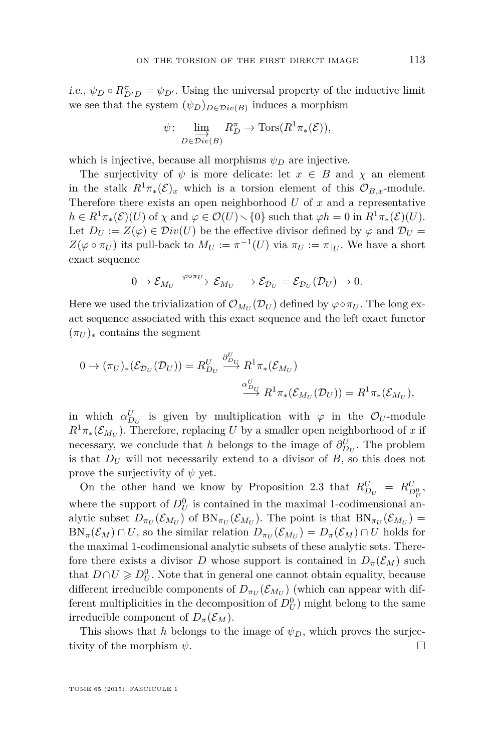*i.e.*,  $\psi_D \circ R_{D'D}^{\pi} = \psi_{D'}$ . Using the universal property of the inductive limit we see that the system  $(\psi_D)_{D \in \mathcal{D}iv(B)}$  induces a morphism

$$
\psi \colon \varinjlim_{D \in \mathcal{D}iv(B)} R_D^{\pi} \to \operatorname{Tors}(R^1 \pi_*(\mathcal{E})),
$$

which is injective, because all morphisms  $\psi_D$  are injective.

The surjectivity of  $\psi$  is more delicate: let  $x \in B$  and  $\chi$  an element in the stalk  $R^1\pi_*(\mathcal{E})_x$  which is a torsion element of this  $\mathcal{O}_{B,x}$ -module. Therefore there exists an open neighborhood *U* of *x* and a representative  $h \in R^1 \pi_* (\mathcal{E})(U)$  of  $\chi$  and  $\varphi \in \mathcal{O}(U) \setminus \{0\}$  such that  $\varphi h = 0$  in  $R^1 \pi_* (\mathcal{E})(U)$ . Let  $D_U := Z(\varphi) \in Div(U)$  be the effective divisor defined by  $\varphi$  and  $\mathcal{D}_U =$  $Z(\varphi \circ \pi_U)$  its pull-back to  $M_U := \pi^{-1}(U)$  via  $\pi_U := \pi|_U$ . We have a short exact sequence

$$
0 \to \mathcal{E}_{M_U} \xrightarrow{\varphi \circ \pi_U} \mathcal{E}_{M_U} \longrightarrow \mathcal{E}_{\mathcal{D}_U} = \mathcal{E}_{\mathcal{D}_U}(\mathcal{D}_U) \to 0.
$$

Here we used the trivialization of  $\mathcal{O}_{M_U}(\mathcal{D}_U)$  defined by  $\varphi \circ \pi_U$ . The long exact sequence associated with this exact sequence and the left exact functor  $(\pi_U)_*$  contains the segment

$$
0 \to (\pi_U)_*(\mathcal{E}_{\mathcal{D}_U}(\mathcal{D}_U)) = R_{D_U}^U \xrightarrow{\partial_{D_U}^U} R^1 \pi_*(\mathcal{E}_{M_U})
$$

$$
\xrightarrow{\alpha_{D_U}^U} R^1 \pi_*(\mathcal{E}_{M_U}(\mathcal{D}_U)) = R^1 \pi_*(\mathcal{E}_{M_U}),
$$

in which  $\alpha_{D_U}^U$  is given by multiplication with  $\varphi$  in the  $\mathcal{O}_U$ -module  $R^1\pi_*({\mathcal{E}}_{M_U})$ . Therefore, replacing *U* by a smaller open neighborhood of *x* if necessary, we conclude that *h* belongs to the image of  $\partial_{D_U}^U$ . The problem is that  $D_U$  will not necessarily extend to a divisor of  $B$ , so this does not prove the surjectivity of  $\psi$  yet.

On the other hand we know by Proposition [2.3](#page-11-0) that  $R_{D_U}^U = R_{D_U^0}^U$ , where the support of  $D_U^0$  is contained in the maximal 1-codimensional analytic subset  $D_{\pi_U}(\mathcal{E}_{M_U})$  of  $BN_{\pi_U}(\mathcal{E}_{M_U})$ . The point is that  $BN_{\pi_U}(\mathcal{E}_{M_U})$  $BN_{\pi}(\mathcal{E}_M) \cap U$ , so the similar relation  $D_{\pi_U}(\mathcal{E}_{M_U}) = D_{\pi}(\mathcal{E}_M) \cap U$  holds for the maximal 1-codimensional analytic subsets of these analytic sets. Therefore there exists a divisor *D* whose support is contained in  $D_{\pi}(\mathcal{E}_M)$  such that  $D \cap U \geqslant D_U^0$ . Note that in general one cannot obtain equality, because different irreducible components of  $D_{\pi_U}(\mathcal{E}_{M_U})$  (which can appear with different multiplicities in the decomposition of  $D_U^0$ ) might belong to the same irreducible component of  $D_{\pi}(\mathcal{E}_M)$ .

This shows that *h* belongs to the image of *ψD*, which proves the surjectivity of the morphism  $\psi$ .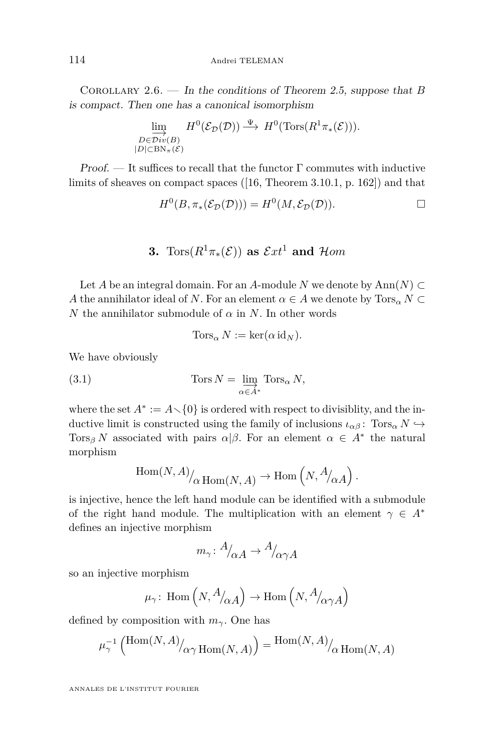<span id="page-14-0"></span>Corollary 2.6. — In the conditions of Theorem [2.5,](#page-12-0) suppose that *B* is compact. Then one has a canonical isomorphism

$$
\lim_{\substack{D \in \mathcal{D}iv(B) \\ |D| \subset \text{BN}_{\pi}(\mathcal{E})}} H^0(\mathcal{E}_\mathcal{D}(\mathcal{D})) \stackrel{\Psi}{\longrightarrow} H^0(\text{Tors}(R^1\pi_*(\mathcal{E}))).
$$

Proof. — It suffices to recall that the functor  $\Gamma$  commutes with inductive limits of sheaves on compact spaces ([\[16,](#page-35-0) Theorem 3.10.1, p. 162]) and that

$$
H^{0}(B, \pi_{*}(\mathcal{E}_{\mathcal{D}}(\mathcal{D}))) = H^{0}(M, \mathcal{E}_{\mathcal{D}}(\mathcal{D})). \square
$$

# **3.** Tors $(R^1\pi_*(\mathcal{E}))$  as  $\mathcal{E}xt^1$  and  $\mathcal{H}om$

Let *A* be an integral domain. For an *A*-module *N* we denote by  $\text{Ann}(N) \subset$ *A* the annihilator ideal of *N*. For an element  $\alpha \in A$  we denote by  $\text{Tors}_\alpha N \subset$ *N* the annihilator submodule of  $\alpha$  in *N*. In other words

$$
\operatorname{Tors}_{\alpha} N := \ker(\alpha \operatorname{id}_N).
$$

We have obviously

(3.1) 
$$
\operatorname{Tors} N = \varinjlim_{\alpha \in A^*} \operatorname{Tors}_{\alpha} N,
$$

where the set  $A^* := A \setminus \{0\}$  is ordered with respect to divisiblity, and the inductive limit is constructed using the family of inclusions  $\iota_{\alpha\beta}$ : Tors<sub> $\alpha$ </sub>  $N \hookrightarrow$  $Tors<sub>β</sub> N$  associated with pairs  $\alpha |β$ . For an element  $\alpha \in A^*$  the natural morphism

$$
\mathrm{Hom}(N,A)_{\alpha \mathrm{Hom}(N,A)} \to \mathrm{Hom}\left(N,{}^{A}\!/_\alpha A\right).
$$

is injective, hence the left hand module can be identified with a submodule of the right hand module. The multiplication with an element  $\gamma \in A^*$ defines an injective morphism

$$
m_{\gamma} \colon {}^A\!/_\alpha A \to {}^A\!/_\alpha \gamma A
$$

so an injective morphism

$$
\mu_\gamma\colon \operatorname{Hom}\left(N, {^A}\!/_{\alpha A}\right) \to \operatorname{Hom}\left(N, {^A}\!/_{\alpha \gamma A}\right)
$$

defined by composition with *mγ*. One has

$$
\mu_\gamma^{-1}\left(\frac{\operatorname{Hom}\nolimits(N,A)}{\alpha \gamma \operatorname{Hom}\nolimits(N,A)}\right) = \frac{\operatorname{Hom}\nolimits(N,A)}{\alpha \operatorname{Hom}\nolimits(N,A)}
$$

ANNALES DE L'INSTITUT FOURIER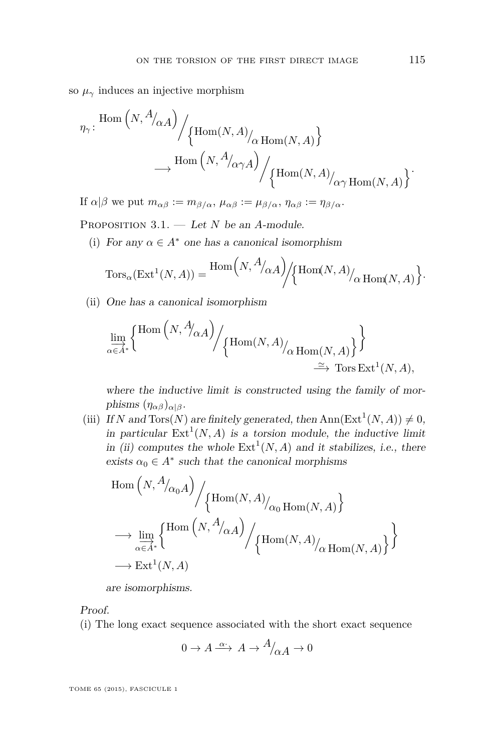<span id="page-15-0"></span>so  $\mu_{\gamma}$  induces an injective morphism

$$
\eta_{\gamma} \colon \text{Hom}\left(N, \frac{A}{\alpha A}\right) / \left\{ \text{Hom}(N, A) /_{\alpha \text{Hom}(N, A)} \right\} \longrightarrow \text{Hom}\left(N, \frac{A}{\alpha \gamma A}\right) / \left\{ \text{Hom}(N, A) /_{\alpha \gamma \text{Hom}(N, A)} \right\}.
$$

If  $\alpha|\beta$  we put  $m_{\alpha\beta} := m_{\beta/\alpha}, \mu_{\alpha\beta} := \mu_{\beta/\alpha}, \eta_{\alpha\beta} := \eta_{\beta/\alpha}.$ 

Proposition 3.1. — Let *N* be an *A*-module.

(i) For any  $\alpha \in A^*$  one has a canonical isomorphism

$$
\operatorname{Tors}_{\alpha}(\operatorname{Ext}^1(N, A)) = \frac{\operatorname{Hom}(N, A)_{\alpha A}}{\operatorname{Hom}(N, A)}_{\alpha \operatorname{Hom}(N, A)}.
$$

(ii) One has a canonical isomorphism

$$
\lim_{\alpha \in A^*} {\text{Hom}(N, A) \choose \text{Hom}(N, A) \land \text{Hom}(N, A)} \}
$$
\n
$$
\xrightarrow{\text{Gov}_{\alpha \in A^*}} {\text{Hom}(N, A)}.
$$

where the inductive limit is constructed using the family of mor*phisms*  $(\eta_{\alpha\beta})_{\alpha|\beta}$ .

(iii) If *N* and  $Tors(N)$  are finitely generated, then  $Ann(Ext<sup>1</sup>(N, A)) \neq 0$ , in particular  $\text{Ext}^1(N, A)$  is a torsion module, the inductive limit in (ii) computes the whole  $\text{Ext}^1(N, A)$  and it stabilizes, i.e., there exists  $\alpha_0 \in A^*$  such that the canonical morphisms

$$
\begin{split} &\mathrm{Hom}\left(N,A'_{\bigwedge\alpha_{0}A}\right)\Big/\underset{\alpha\in A^{*}}{\left\{ \mathrm{Hom}(N,A)\right\} _{\bigwedge\alpha_{0} \mathrm{Hom}(N,A)\right\} }}\\ &\longrightarrow\underset{\alpha\in A^{*}}{\underline{\lim}}\left\{ \frac{\mathrm{Hom}\left(N,A\right)\Big/\underset{\alpha\in\mathrm{Hom}(N,A)}{\left\{ \mathrm{Hom}(N,A)\right/\alpha \mathrm{Hom}(N,A)\right\} }}\right\} \end{split}
$$

are isomorphisms.

Proof.

(i) The long exact sequence associated with the short exact sequence

$$
0 \to A \xrightarrow{\alpha \cdot} A \to A/_{\alpha A} \to 0
$$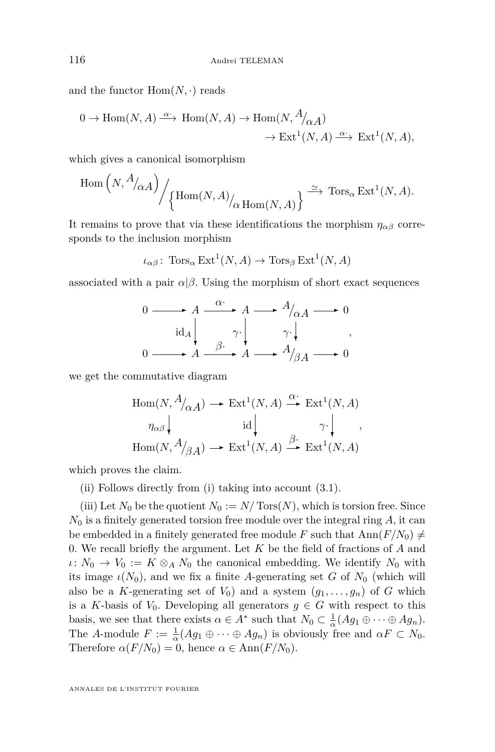and the functor  $\text{Hom}(N, \cdot)$  reads

$$
0 \to \text{Hom}(N, A) \xrightarrow{\alpha} \text{Hom}(N, A) \to \text{Hom}(N, \frac{A}{\alpha A})
$$

$$
\to \text{Ext}^1(N, A) \xrightarrow{\alpha} \text{Ext}^1(N, A),
$$

which gives a canonical isomorphism

$$
\text{Hom}\left(N, \frac{A}{\alpha A}\right) / \left\{\text{Hom}(N, A) / \frac{A}{\alpha \text{Hom}(N, A)}\right\} \xrightarrow{\simeq} \text{Tors}_{\alpha} \text{Ext}^1(N, A).
$$

It remains to prove that via these identifications the morphism  $\eta_{\alpha\beta}$  corresponds to the inclusion morphism

$$
\iota_{\alpha\beta}
$$
: Tors <sub>$\alpha$</sub>  Ext<sup>1</sup>(N, A)  $\rightarrow$  Tors <sub>$\beta$</sub>  Ext<sup>1</sup>(N, A)

associated with a pair  $\alpha/\beta$ . Using the morphism of short exact sequences

$$
0 \longrightarrow A \xrightarrow{\alpha} A \longrightarrow A/\alpha A \longrightarrow 0
$$
  
\n
$$
\text{id}_A \downarrow \qquad \gamma \downarrow \qquad \gamma \downarrow \qquad \gamma
$$
  
\n
$$
0 \longrightarrow A \xrightarrow{\beta} A \longrightarrow A/\beta A \longrightarrow 0
$$

we get the commutative diagram

$$
\begin{array}{ccc}\mathrm{Hom}(N, \,^A\!/\!_{\alpha A})\,\, \longrightarrow\,\, \mathrm{Ext}^1(N,A)\, \xrightarrow{\alpha} \, \mathrm{Ext}^1(N,A)\\[1ex] \eta_{\alpha\beta}\Big\downarrow \qquad \qquad \mathrm{id}\Big\downarrow \qquad \qquad \gamma\cdot\Big\downarrow \qquad \qquad ,\\[1ex] \mathrm{Hom}(N, \,^A\!/\!_{\beta A})\,\,\longrightarrow\,\, \mathrm{Ext}^1(N,A)\, \xrightarrow{\beta} \, \mathrm{Ext}^1(N,A) \end{array}
$$

which proves the claim.

(ii) Follows directly from (i) taking into account [\(3.1\)](#page-14-0).

(iii) Let  $N_0$  be the quotient  $N_0 := N/\text{Tors}(N)$ , which is torsion free. Since  $N_0$  is a finitely generated torsion free module over the integral ring  $A$ , it can be embedded in a finitely generated free module *F* such that  $\text{Ann}(F/N_0) \neq$ 0. We recall briefly the argument. Let *K* be the field of fractions of *A* and  $\iota: N_0 \to V_0 := K \otimes_A N_0$  the canonical embedding. We identify  $N_0$  with its image  $\iota(N_0)$ , and we fix a finite *A*-generating set *G* of  $N_0$  (which will also be a *K*-generating set of  $V_0$ ) and a system  $(g_1, \ldots, g_n)$  of *G* which is a *K*-basis of  $V_0$ . Developing all generators  $g \in G$  with respect to this basis, we see that there exists  $\alpha \in A^*$  such that  $N_0 \subset \frac{1}{\alpha}(Ag_1 \oplus \cdots \oplus Ag_n)$ . The *A*-module  $F := \frac{1}{\alpha}(Ag_1 \oplus \cdots \oplus Ag_n)$  is obviously free and  $\alpha F \subset N_0$ . Therefore  $\alpha(F/N_0) = 0$ , hence  $\alpha \in \text{Ann}(F/N_0)$ .

ANNALES DE L'INSTITUT FOURIER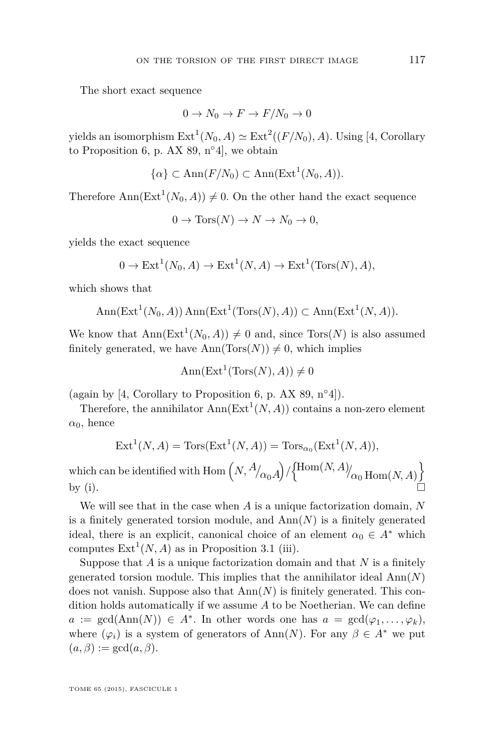The short exact sequence

$$
0 \to N_0 \to F \to F/N_0 \to 0
$$

yields an isomorphism  $\text{Ext}^1(N_0, A) \simeq \text{Ext}^2((F/N_0), A)$ . Using [\[4,](#page-35-0) Corollary to Proposition 6, p. AX 89,  $n°4$ , we obtain

$$
\{\alpha\} \subset \text{Ann}(F/N_0) \subset \text{Ann}(\text{Ext}^1(N_0, A)).
$$

Therefore  $\text{Ann}(\text{Ext}^1(N_0, A)) \neq 0$ . On the other hand the exact sequence

 $0 \to \text{Tors}(N) \to N \to N_0 \to 0$ ,

yields the exact sequence

$$
0 \to \text{Ext}^1(N_0, A) \to \text{Ext}^1(N, A) \to \text{Ext}^1(\text{Tors}(N), A),
$$

which shows that

$$
\text{Ann}(\text{Ext}^1(N_0, A)) \text{Ann}(\text{Ext}^1(\text{Tors}(N), A)) \subset \text{Ann}(\text{Ext}^1(N, A)).
$$

We know that  $\text{Ann}(\text{Ext}^1(N_0, A)) \neq 0$  and, since  $\text{Tors}(N)$  is also assumed finitely generated, we have  $\text{Ann}(\text{Tors}(N)) \neq 0$ , which implies

$$
Ann(Ext^1(Tors(N), A)) \neq 0
$$

(again by [\[4,](#page-35-0) Corollary to Proposition 6, p. AX 89,  $n^{\circ}4$ ]).

Therefore, the annihilator  $\text{Ann}(\text{Ext}^1(N, A))$  contains a non-zero element  $\alpha_0$ , hence

$$
Ext1(N, A) = Tors(Ext1(N, A)) = Torsα0(Ext1(N, A)),
$$

which can be identified with Hom  $\left(N, {A}/{\alpha_0}A\right)/\left\{\text{Hom}(N,A)\right\}_{\alpha_0\,\text{Hom}(N,\,A)}\right\}$ by (i).  $\Box$ 

We will see that in the case when *A* is a unique factorization domain, *N* is a finitely generated torsion module, and  $Ann(N)$  is a finitely generated ideal, there is an explicit, canonical choice of an element  $\alpha_0 \in A^*$  which computes  $\text{Ext}^1(N, A)$  as in Proposition [3.1](#page-15-0) (iii).

Suppose that *A* is a unique factorization domain and that *N* is a finitely generated torsion module. This implies that the annihilator ideal  $\text{Ann}(N)$ does not vanish. Suppose also that  $\text{Ann}(N)$  is finitely generated. This condition holds automatically if we assume *A* to be Noetherian. We can define  $a := \gcd(\text{Ann}(N)) \in A^*$ . In other words one has  $a = \gcd(\varphi_1, \ldots, \varphi_k)$ , where  $(\varphi_i)$  is a system of generators of Ann $(N)$ . For any  $\beta \in A^*$  we put  $(a, \beta) := \gcd(a, \beta).$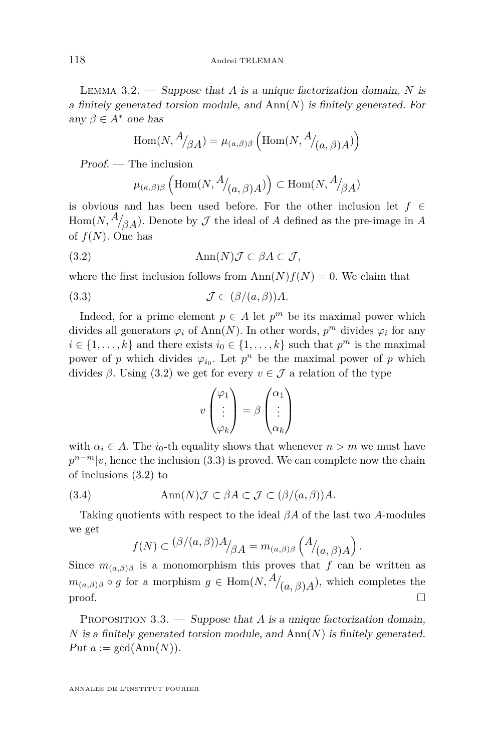<span id="page-18-0"></span>Lemma 3.2. — Suppose that *A* is a unique factorization domain, *N* is a finitely generated torsion module, and Ann(*N*) is finitely generated. For any  $\beta \in A^*$  one has

$$
\operatorname{Hom}(N, \frac{A}{\beta A}) = \mu_{(a,\beta)\beta} \left( \operatorname{Hom}(N, \frac{A}{(a,\beta)A}) \right)
$$

Proof. — The inclusion

$$
\mu_{(a,\beta)\beta}\left(\mathrm{Hom}(N,\frac{A}{(a,\beta)A})\right) \subset \mathrm{Hom}(N,\frac{A}{\beta A})
$$

is obvious and has been used before. For the other inclusion let  $f \in$  $\text{Hom}(N, \frac{A}{\beta A})$ . Denote by  $\mathcal J$  the ideal of  $A$  defined as the pre-image in  $A$ of  $f(N)$ . One has

$$
(3.2)\quad \text{Ann}(N)\mathcal{J}\subset\beta A\subset\mathcal{J},
$$

where the first inclusion follows from  $\text{Ann}(N)f(N) = 0$ . We claim that

$$
(3.3) \t\t \mathcal{J} \subset (\beta/(a,\beta))A.
$$

Indeed, for a prime element  $p \in A$  let  $p^m$  be its maximal power which divides all generators  $\varphi_i$  of Ann(*N*). In other words,  $p^m$  divides  $\varphi_i$  for any  $i \in \{1, \ldots, k\}$  and there exists  $i_0 \in \{1, \ldots, k\}$  such that  $p^m$  is the maximal power of *p* which divides  $\varphi_{i_0}$ . Let  $p^n$  be the maximal power of *p* which divides  $\beta$ . Using (3.2) we get for every  $v \in \mathcal{J}$  a relation of the type

$$
v \begin{pmatrix} \varphi_1 \\ \vdots \\ \varphi_k \end{pmatrix} = \beta \begin{pmatrix} \alpha_1 \\ \vdots \\ \alpha_k \end{pmatrix}
$$

with  $\alpha_i \in A$ . The *i*<sub>0</sub>-th equality shows that whenever  $n > m$  we must have  $p^{n-m}|v$ , hence the inclusion (3.3) is proved. We can complete now the chain of inclusions (3.2) to

(3.4) 
$$
\operatorname{Ann}(N)\mathcal{J}\subset\beta A\subset\mathcal{J}\subset(\beta/(a,\beta))A.
$$

Taking quotients with respect to the ideal *βA* of the last two *A*-modules we get

$$
f(N) \subset \frac{(\beta/(a,\beta))A}{\beta A} = m_{(a,\beta)\beta} \left( \frac{A}{(a,\beta)A} \right).
$$

Since  $m_{(a,\beta)\beta}$  is a monomorphism this proves that *f* can be written as  $m_{(a,\beta)\beta} \circ g$  for a morphism  $g \in \text{Hom}(N, \frac{A}{(a,\beta)A})$ , which completes the  $\Box$ 

PROPOSITION 3.3. — Suppose that *A* is a unique factorization domain, *N* is a finitely generated torsion module, and Ann(*N*) is finitely generated.  $Put a := gcd(Ann(N)).$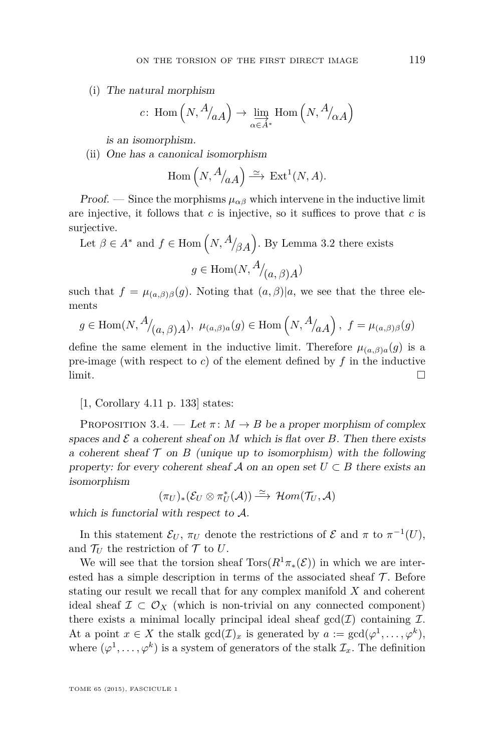<span id="page-19-0"></span>(i) The natural morphism

$$
c\colon \text{Hom}\left(N, \frac{A}{aA}\right) \to \varinjlim_{\alpha \in A^*} \text{Hom}\left(N, \frac{A}{aA}\right)
$$

is an isomorphism.

(ii) One has a canonical isomorphism

$$
\mathrm{Hom}\left(N, \frac{A}{aA}\right) \xrightarrow{\simeq} \mathrm{Ext}^1(N, A).
$$

*Proof.* — Since the morphisms  $\mu_{\alpha\beta}$  which intervene in the inductive limit are injective, it follows that *c* is injective, so it suffices to prove that *c* is surjective.

Let 
$$
\beta \in A^*
$$
 and  $f \in \text{Hom}(N, \frac{A}{\beta A})$ . By Lemma 3.2 there exists  
 $g \in \text{Hom}(N, \frac{A}{(a, \beta)A})$ 

such that  $f = \mu_{(a,\beta)\beta}(g)$ . Noting that  $(a,\beta)|a$ , we see that the three elements

$$
g \in \text{Hom}(N, \frac{A}{(a,\beta)A}), \ \mu_{(a,\beta)a}(g) \in \text{Hom}\left(N, \frac{A}{(a,A)}\right), \ f = \mu_{(a,\beta)\beta}(g)
$$

define the same element in the inductive limit. Therefore  $\mu_{(a,\beta)a}(g)$  is a pre-image (with respect to  $c$ ) of the element defined by  $f$  in the inductive  $\Box$ 

## [\[1,](#page-35-0) Corollary 4.11 p. 133] states:

PROPOSITION 3.4. — Let  $\pi$ :  $M \rightarrow B$  be a proper morphism of complex spaces and  $\mathcal E$  a coherent sheaf on M which is flat over  $B$ . Then there exists a coherent sheaf  $\mathcal T$  on  $B$  (unique up to isomorphism) with the following property: for every coherent sheaf A on an open set  $U \subset B$  there exists an isomorphism

 $(\pi_U)_*(\mathcal{E}_U \otimes \pi_U^*(\mathcal{A})) \stackrel{\simeq}{\longrightarrow} \mathcal{H}om(\mathcal{T}_U, \mathcal{A})$ 

which is functorial with respect to A.

In this statement  $\mathcal{E}_U$ ,  $\pi_U$  denote the restrictions of  $\mathcal E$  and  $\pi$  to  $\pi^{-1}(U)$ , and  $\mathcal{T}_{U}$  the restriction of  $\mathcal{T}$  to  $U$ .

We will see that the torsion sheaf  $Tors(R^1\pi_*(\mathcal{E}))$  in which we are interested has a simple description in terms of the associated sheaf  $\mathcal T$ . Before stating our result we recall that for any complex manifold *X* and coherent ideal sheaf  $\mathcal{I} \subset \mathcal{O}_X$  (which is non-trivial on any connected component) there exists a minimal locally principal ideal sheaf  $gcd(\mathcal{I})$  containing  $\mathcal{I}$ . At a point  $x \in X$  the stalk  $gcd(\mathcal{I})_x$  is generated by  $a := gcd(\varphi^1, \ldots, \varphi^k)$ , where  $(\varphi^1, \ldots, \varphi^k)$  is a system of generators of the stalk  $\mathcal{I}_x$ . The definition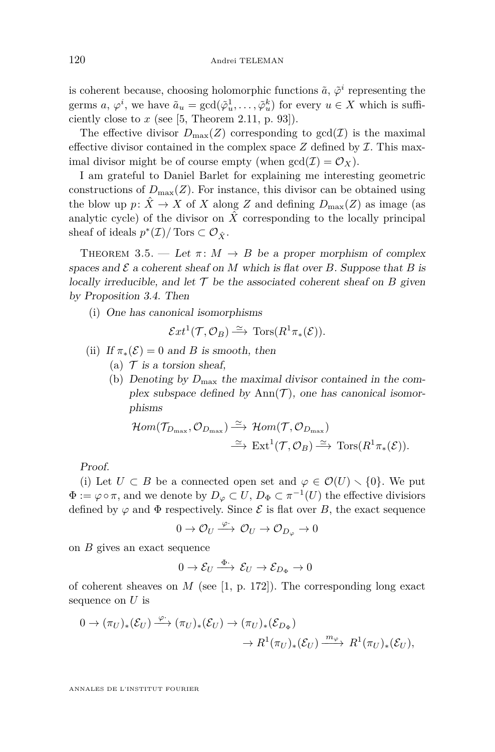<span id="page-20-0"></span>is coherent because, choosing holomorphic functions  $\tilde{a}$ ,  $\tilde{\varphi}^i$  representing the germs *a*,  $\varphi^i$ , we have  $\tilde{a}_u = \gcd(\tilde{\varphi}_u^1, \dots, \tilde{\varphi}_u^k)$  for every  $u \in X$  which is sufficiently close to  $x$  (see [\[5,](#page-35-0) Theorem 2.11, p. 93]).

The effective divisor  $D_{\text{max}}(Z)$  corresponding to  $gcd(\mathcal{I})$  is the maximal effective divisor contained in the complex space  $Z$  defined by  $\mathcal I$ . This maximal divisor might be of course empty (when  $gcd(\mathcal{I}) = \mathcal{O}_X$ ).

I am grateful to Daniel Barlet for explaining me interesting geometric constructions of  $D_{\text{max}}(Z)$ . For instance, this divisor can be obtained using the blow up  $p: X \to X$  of *X* along *Z* and defining  $D_{\text{max}}(Z)$  as image (as analytic cycle) of the divisor on  $\hat{X}$  corresponding to the locally principal sheaf of ideals  $p^*(\mathcal{I})/$  Tors  $\subset \mathcal{O}_{\hat{X}}$ .

THEOREM 3.5. — Let  $\pi: M \to B$  be a proper morphism of complex spaces and  $\mathcal E$  a coherent sheaf on M which is flat over  $B$ . Suppose that  $B$  is locally irreducible, and let  $\mathcal T$  be the associated coherent sheaf on  $B$  given by Proposition [3.4.](#page-19-0) Then

(i) One has canonical isomorphisms

$$
\mathcal{E}xt^1(\mathcal{T},\mathcal{O}_B) \stackrel{\simeq}{\longrightarrow} \text{Tors}(R^1\pi_* (\mathcal{E})).
$$

- (ii) If  $\pi_*(\mathcal{E}) = 0$  and *B* is smooth, then
	- (a)  $\mathcal T$  is a torsion sheaf,
	- (b) Denoting by  $D_{\text{max}}$  the maximal divisor contained in the complex subspace defined by  $\text{Ann}(\mathcal{T})$ , one has canonical isomorphisms

$$
\mathcal{H}om(\mathcal{T}_{D_{\max}}, \mathcal{O}_{D_{\max}}) \stackrel{\simeq}{\longrightarrow} \mathcal{H}om(\mathcal{T}, \mathcal{O}_{D_{\max}})
$$
  

$$
\stackrel{\simeq}{\longrightarrow} \operatorname{Ext}^1(\mathcal{T}, \mathcal{O}_B) \stackrel{\simeq}{\longrightarrow} \operatorname{Tors}(R^1 \pi_*(\mathcal{E})).
$$

Proof.

(i) Let  $U \subset B$  be a connected open set and  $\varphi \in \mathcal{O}(U) \setminus \{0\}$ . We put  $\Phi := \varphi \circ \pi$ , and we denote by  $D_{\varphi} \subset U$ ,  $D_{\Phi} \subset \pi^{-1}(U)$  the effective divisiors defined by  $\varphi$  and  $\Phi$  respectively. Since  $\mathcal E$  is flat over  $B$ , the exact sequence

$$
0 \to \mathcal{O}_U \xrightarrow{\varphi^*} \mathcal{O}_U \to \mathcal{O}_{D_{\varphi}} \to 0
$$

on *B* gives an exact sequence

$$
0 \to \mathcal{E}_U \xrightarrow{\Phi^{\cdot}} \mathcal{E}_U \to \mathcal{E}_{D_{\Phi}} \to 0
$$

of coherent sheaves on *M* (see [\[1,](#page-35-0) p. 172]). The corresponding long exact sequence on *U* is

$$
0 \to (\pi_U)_*(\mathcal{E}_U) \xrightarrow{\varphi^{\cdot}} (\pi_U)_*(\mathcal{E}_U) \to (\pi_U)_*(\mathcal{E}_{D_{\Phi}}) \to R^1(\pi_U)_*(\mathcal{E}_U) \xrightarrow{m_{\varphi}} R^1(\pi_U)_*(\mathcal{E}_U),
$$

ANNALES DE L'INSTITUT FOURIER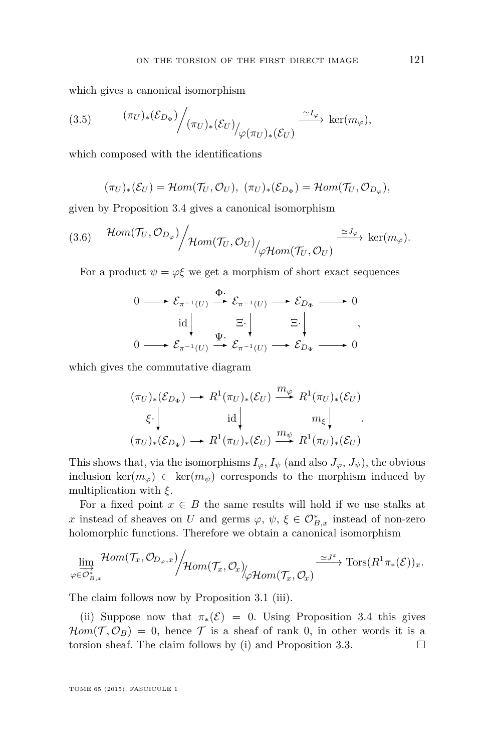which gives a canonical isomorphism

(3.5) 
$$
(\pi_U)_*(\mathcal{E}_{D_{\Phi}})\Big/_{(\pi_U)_*(\mathcal{E}_U)}\Big/_{\varphi(\pi_U)_*(\mathcal{E}_U)} \xrightarrow{\simeq I_{\varphi}} \ker(m_{\varphi}),
$$

which composed with the identifications

$$
(\pi_U)_*(\mathcal{E}_U)=\mathcal{H}om(\mathcal{T}_U,\mathcal{O}_U), \ (\pi_U)_*(\mathcal{E}_{D_{\Phi}})=\mathcal{H}om(\mathcal{T}_U,\mathcal{O}_{D_{\varphi}}),
$$

given by Proposition [3.4](#page-19-0) gives a canonical isomorphism

(3.6) 
$$
\mathcal{H}om(\mathcal{T}_U, \mathcal{O}_{D_{\varphi}})\Big/ \mathcal{H}om(\mathcal{T}_U, \mathcal{O}_U)\Big/_{\varphi\mathcal{H}om(\mathcal{T}_U, \mathcal{O}_U)} \xrightarrow{\simeq J_{\varphi}} \ker(m_{\varphi}).
$$

For a product  $\psi = \varphi \xi$  we get a morphism of short exact sequences

$$
0 \longrightarrow \mathcal{E}_{\pi^{-1}(U)} \xrightarrow{\Phi} \mathcal{E}_{\pi^{-1}(U)} \longrightarrow \mathcal{E}_{D_{\Phi}} \longrightarrow 0
$$
  
id  

$$
\downarrow \qquad \qquad \Xi \cdot \downarrow \qquad \Xi \cdot \downarrow \qquad \qquad \Xi \cdot \downarrow \qquad \qquad \Theta
$$
  

$$
0 \longrightarrow \mathcal{E}_{\pi^{-1}(U)} \longrightarrow \mathcal{E}_{\pi^{-1}(U)} \longrightarrow \mathcal{E}_{D_{\Psi}} \longrightarrow 0
$$

which gives the commutative diagram

$$
(\pi_U)_*(\mathcal{E}_{D_{\Phi}}) \longrightarrow R^1(\pi_U)_*(\mathcal{E}_U) \stackrel{m_{\varphi}}{\longrightarrow} R^1(\pi_U)_*(\mathcal{E}_U)
$$
  

$$
\xi \cdot \begin{vmatrix} \operatorname{id} & m_{\varphi} \\ (m_U)_*(\mathcal{E}_{D_{\Psi}}) \longrightarrow R^1(\pi_U)_*(\mathcal{E}_U) \stackrel{m_{\psi}}{\longrightarrow} R^1(\pi_U)_*(\mathcal{E}_U) \end{vmatrix}
$$

This shows that, via the isomorphisms  $I_\varphi$ ,  $I_\psi$  (and also  $J_\varphi$ ,  $J_\psi$ ), the obvious inclusion ker( $m_\varphi$ ) ⊂ ker( $m_\psi$ ) corresponds to the morphism induced by multiplication with *ξ*.

For a fixed point  $x \in B$  the same results will hold if we use stalks at *x* instead of sheaves on *U* and germs  $\varphi$ ,  $\psi$ ,  $\xi \in \mathcal{O}_{B,x}^{*}$  instead of non-zero holomorphic functions. Therefore we obtain a canonical isomorphism

$$
\lim_{\varphi\in \overrightarrow{{\cal O}^*_{B,x}}}{\cal H}om(T_x,{\cal O}_{D_\varphi,x})\bigg/{\cal H}om(T_x,{\cal O}_x)\!{\big/{\not\!\!{\partial}}{\cal H}om(T_x,{\cal O}_x)}\xrightarrow{\simeq J^x}\overrightarrow{\operatorname{Tors}}(R^1\pi_*(\mathcal{E}))_x.
$$

The claim follows now by Proposition [3.1](#page-15-0) (iii).

(ii) Suppose now that  $\pi_*(\mathcal{E}) = 0$ . Using Proposition [3.4](#page-19-0) this gives  $\mathcal{H}om(\mathcal{T}, \mathcal{O}_B) = 0$ , hence  $\mathcal{T}$  is a sheaf of rank 0, in other words it is a torsion sheaf. The claim follows by (i) and Proposition [3.3.](#page-18-0)  $\Box$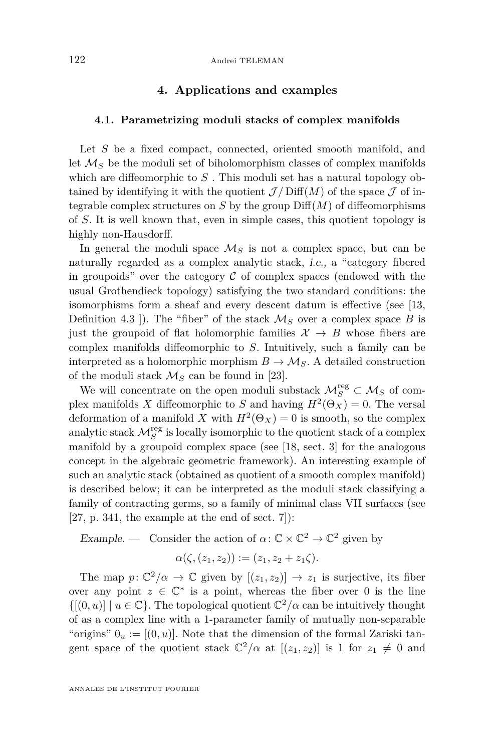### **4. Applications and examples**

#### <span id="page-22-0"></span>**4.1. Parametrizing moduli stacks of complex manifolds**

Let *S* be a fixed compact, connected, oriented smooth manifold, and let  $\mathcal{M}_S$  be the moduli set of biholomorphism classes of complex manifolds which are diffeomorphic to *S*. This moduli set has a natural topology obtained by identifying it with the quotient  $\mathcal{J}/\text{Diff}(M)$  of the space  $\mathcal{J}$  of integrable complex structures on  $S$  by the group  $\text{Diff}(M)$  of diffeomorphisms of *S*. It is well known that, even in simple cases, this quotient topology is highly non-Hausdorff.

In general the moduli space  $\mathcal{M}_S$  is not a complex space, but can be naturally regarded as a complex analytic stack, i.e., a "category fibered in groupoids" over the category  $\mathcal C$  of complex spaces (endowed with the usual Grothendieck topology) satisfying the two standard conditions: the isomorphisms form a sheaf and every descent datum is effective (see [\[13,](#page-35-0) Definition 4.3 ]). The "fiber" of the stack  $\mathcal{M}_S$  over a complex space *B* is just the groupoid of flat holomorphic families  $X \rightarrow B$  whose fibers are complex manifolds diffeomorphic to *S*. Intuitively, such a family can be interpreted as a holomorphic morphism  $B \to M_S$ . A detailed construction of the moduli stack  $\mathcal{M}_S$  can be found in [\[23\]](#page-36-0).

We will concentrate on the open moduli substack  $\mathcal{M}_S^{\text{reg}} \subset \mathcal{M}_S$  of complex manifolds *X* diffeomorphic to *S* and having  $H^2(\Theta_X) = 0$ . The versal deformation of a manifold *X* with  $H^2(\Theta_X) = 0$  is smooth, so the complex analytic stack  $\mathcal{M}_S^{\text{reg}}$  is locally isomorphic to the quotient stack of a complex manifold by a groupoid complex space (see [\[18,](#page-35-0) sect. 3] for the analogous concept in the algebraic geometric framework). An interesting example of such an analytic stack (obtained as quotient of a smooth complex manifold) is described below; it can be interpreted as the moduli stack classifying a family of contracting germs, so a family of minimal class VII surfaces (see [\[27,](#page-36-0) p. 341, the example at the end of sect. 7]):

Example. — Consider the action of  $\alpha: \mathbb{C} \times \mathbb{C}^2 \to \mathbb{C}^2$  given by

$$
\alpha(\zeta,(z_1,z_2)) := (z_1,z_2 + z_1\zeta).
$$

The map  $p: \mathbb{C}^2/\alpha \to \mathbb{C}$  given by  $[(z_1, z_2)] \to z_1$  is surjective, its fiber over any point  $z \in \mathbb{C}^*$  is a point, whereas the fiber over 0 is the line  $\{[(0, u)] \mid u \in \mathbb{C}\}.$  The topological quotient  $\mathbb{C}^2/\alpha$  can be intuitively thought of as a complex line with a 1-parameter family of mutually non-separable "origins"  $0_u := [(0, u)]$ . Note that the dimension of the formal Zariski tangent space of the quotient stack  $\mathbb{C}^2/\alpha$  at  $[(z_1, z_2)]$  is 1 for  $z_1 \neq 0$  and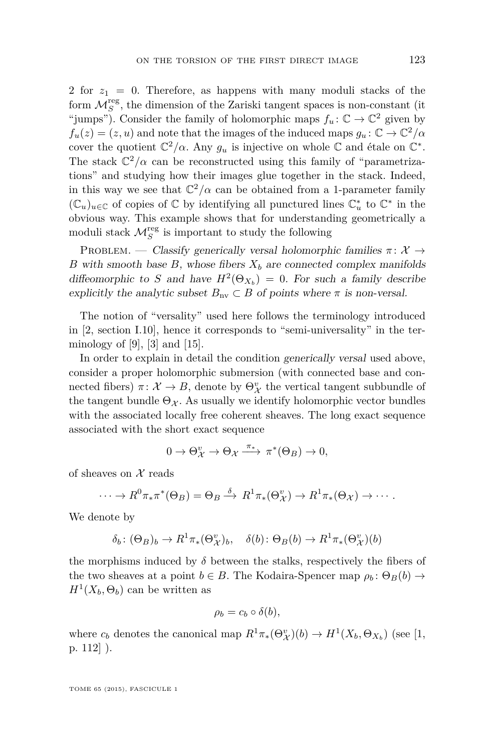2 for  $z_1 = 0$ . Therefore, as happens with many moduli stacks of the form  $\mathcal{M}_S^{\text{reg}}$ , the dimension of the Zariski tangent spaces is non-constant (it "jumps"). Consider the family of holomorphic maps  $f_u : \mathbb{C} \to \mathbb{C}^2$  given by  $f_u(z) = (z, u)$  and note that the images of the induced maps  $g_u : \mathbb{C} \to \mathbb{C}^2/\alpha$ cover the quotient  $\mathbb{C}^2/\alpha$ . Any  $g_u$  is injective on whole  $\mathbb C$  and étale on  $\mathbb{C}^*$ . The stack  $\mathbb{C}^2/\alpha$  can be reconstructed using this family of "parametrizations" and studying how their images glue together in the stack. Indeed, in this way we see that  $\mathbb{C}^2/\alpha$  can be obtained from a 1-parameter family  $(\mathbb{C}_u)_{u \in \mathbb{C}}$  of copies of  $\mathbb{C}$  by identifying all punctured lines  $\mathbb{C}_u^*$  to  $\mathbb{C}^*$  in the obvious way. This example shows that for understanding geometrically a moduli stack  $\mathcal{M}_S^{\text{reg}}$  is important to study the following

PROBLEM. — Classify generically versal holomorphic families  $\pi: \mathcal{X} \rightarrow$ *B* with smooth base *B*, whose fibers  $X_b$  are connected complex manifolds diffeomorphic to *S* and have  $H^2(\Theta_{X_b}) = 0$ . For such a family describe explicitly the analytic subset  $B_{\text{nv}} \subset B$  of points where  $\pi$  is non-versal.

The notion of "versality" used here follows the terminology introduced in [\[2,](#page-35-0) section I.10], hence it corresponds to "semi-universality" in the terminology of  $[9]$ ,  $[3]$  and  $[15]$ .

In order to explain in detail the condition generically versal used above, consider a proper holomorphic submersion (with connected base and connected fibers)  $\pi \colon \mathcal{X} \to B$ , denote by  $\Theta_{\mathcal{X}}^v$  the vertical tangent subbundle of the tangent bundle  $\Theta_{\mathcal{X}}$ . As usually we identify holomorphic vector bundles with the associated locally free coherent sheaves. The long exact sequence associated with the short exact sequence

$$
0 \to \Theta^v_{\mathcal{X}} \to \Theta_{\mathcal{X}} \xrightarrow{\pi_*} \pi^*(\Theta_B) \to 0,
$$

of sheaves on  $\mathcal X$  reads

$$
\cdots \to R^0\pi_*\pi^*(\Theta_B) = \Theta_B \stackrel{\delta}{\to} R^1\pi_*(\Theta^v_{\mathcal{X}}) \to R^1\pi_*(\Theta_{\mathcal{X}}) \to \cdots.
$$

We denote by

$$
\delta_b \colon (\Theta_B)_b \to R^1 \pi_* (\Theta^v_{\mathcal{X}})_b, \quad \delta(b) \colon \Theta_B(b) \to R^1 \pi_* (\Theta^v_{\mathcal{X}})(b)
$$

the morphisms induced by  $\delta$  between the stalks, respectively the fibers of the two sheaves at a point  $b \in B$ . The Kodaira-Spencer map  $\rho_b : \Theta_B(b) \to$  $H^1(X_b, \Theta_b)$  can be written as

$$
\rho_b = c_b \circ \delta(b),
$$

where  $c_b$  denotes the canonical map  $R^1\pi_*(\Theta_\chi^v)(b) \to H^1(X_b, \Theta_{X_b})$  (see [\[1,](#page-35-0) p. 112] ).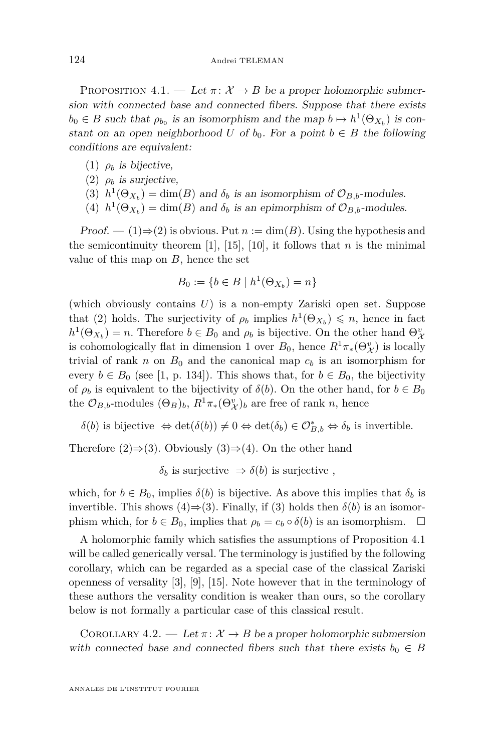<span id="page-24-0"></span>PROPOSITION 4.1. — Let  $\pi: \mathcal{X} \to B$  be a proper holomorphic submersion with connected base and connected fibers. Suppose that there exists  $b_0 \in B$  such that  $\rho_{b_0}$  is an isomorphism and the map  $b \mapsto h^1(\Theta_{X_b})$  is constant on an open neighborhood *U* of  $b_0$ . For a point  $b \in B$  the following conditions are equivalent:

- (1)  $\rho_b$  is bijective,
- (2)  $\rho_b$  is surjective,
- (3)  $h^1(\Theta_{X_b}) = \dim(B)$  and  $\delta_b$  is an isomorphism of  $\mathcal{O}_{B,b}$ -modules.
- (4)  $h^1(\Theta_{X_b}) = \dim(B)$  and  $\delta_b$  is an epimorphism of  $\mathcal{O}_{B,b}$ -modules.

Proof. — (1) $\Rightarrow$ (2) is obvious. Put *n* := dim(*B*). Using the hypothesis and the semicontinuity theorem  $[1]$ ,  $[15]$ ,  $[10]$ , it follows that  $n$  is the minimal value of this map on *B*, hence the set

$$
B_0 := \{ b \in B \mid h^1(\Theta_{X_b}) = n \}
$$

(which obviously contains *U*) is a non-empty Zariski open set. Suppose that (2) holds. The surjectivity of  $\rho_b$  implies  $h^1(\Theta_{X_b}) \leq n$ , hence in fact  $h^1(\Theta_{X_b}) = n$ . Therefore  $b \in B_0$  and  $\rho_b$  is bijective. On the other hand  $\Theta_{X}^v$ is cohomologically flat in dimension 1 over  $B_0$ , hence  $R^1\pi_*(\Theta^v_X)$  is locally trivial of rank  $n$  on  $B_0$  and the canonical map  $c_b$  is an isomorphism for every  $b \in B_0$  (see [\[1,](#page-35-0) p. 134]). This shows that, for  $b \in B_0$ , the bijectivity of  $\rho_b$  is equivalent to the bijectivity of  $\delta(b)$ . On the other hand, for  $b \in B_0$ the  $\mathcal{O}_{B,b}$ -modules  $(\Theta_B)_b$ ,  $R^1\pi_*(\Theta^v_{\mathcal{X}})_b$  are free of rank *n*, hence

 $\delta(b)$  is bijective  $\Leftrightarrow \det(\delta(b)) \neq 0 \Leftrightarrow \det(\delta_b) \in \mathcal{O}_{B,b}^* \Leftrightarrow \delta_b$  is invertible.

Therefore  $(2) \Rightarrow (3)$ . Obviously  $(3) \Rightarrow (4)$ . On the other hand

 $\delta_b$  is surjective  $\Rightarrow \delta(b)$  is surjective,

which, for  $b \in B_0$ , implies  $\delta(b)$  is bijective. As above this implies that  $\delta_b$  is invertible. This shows (4) $\Rightarrow$ (3). Finally, if (3) holds then  $\delta(b)$  is an isomorphism which, for  $b \in B_0$ , implies that  $\rho_b = c_b \circ \delta(b)$  is an isomorphism.  $\Box$ 

A holomorphic family which satisfies the assumptions of Proposition 4.1 will be called generically versal. The terminology is justified by the following corollary, which can be regarded as a special case of the classical Zariski openness of versality [\[3\]](#page-35-0), [\[9\]](#page-35-0), [\[15\]](#page-35-0). Note however that in the terminology of these authors the versality condition is weaker than ours, so the corollary below is not formally a particular case of this classical result.

COROLLARY 4.2. — Let  $\pi: \mathcal{X} \to B$  be a proper holomorphic submersion with connected base and connected fibers such that there exists  $b_0 \in B$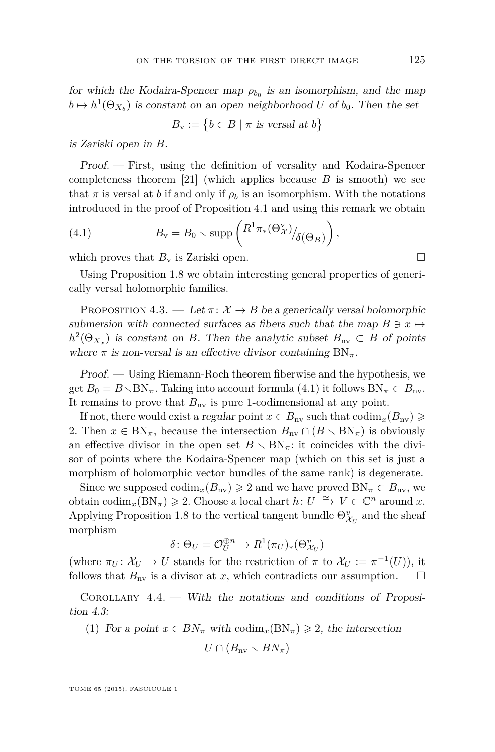<span id="page-25-0"></span>for which the Kodaira-Spencer map  $\rho_{b_0}$  is an isomorphism, and the map  $b \mapsto h^1(\Theta_{X_b})$  is constant on an open neighborhood *U* of  $b_0$ . Then the set

$$
B_{\rm v} := \{ b \in B \mid \pi \text{ is versal at } b \}
$$

is Zariski open in *B*.

Proof. — First, using the definition of versality and Kodaira-Spencer completeness theorem [\[21\]](#page-36-0) (which applies because  $B$  is smooth) we see that  $\pi$  is versal at *b* if and only if  $\rho_b$  is an isomorphism. With the notations introduced in the proof of Proposition [4.1](#page-24-0) and using this remark we obtain

(4.1) 
$$
B_{\rm v} = B_0 \setminus \text{supp}\left(\frac{R^1 \pi_*(\Theta_X^{\rm v})}{\delta(\Theta_B)}\right),
$$

which proves that  $B_{\rm v}$  is Zariski open.

Using Proposition [1.8](#page-9-0) we obtain interesting general properties of generically versal holomorphic families.

PROPOSITION 4.3. — Let  $\pi: \mathcal{X} \to B$  be a generically versal holomorphic submersion with connected surfaces as fibers such that the map  $B \ni x \mapsto$  $h^2(\Theta_{X_x})$  is constant on *B*. Then the analytic subset  $B_{\text{nv}} \subset B$  of points where  $\pi$  is non-versal is an effective divisor containing  $BN_{\pi}$ .

Proof. — Using Riemann-Roch theorem fiberwise and the hypothesis, we get  $B_0 = B \setminus BN_\pi$ . Taking into account formula (4.1) it follows  $BN_\pi \subset B_{\text{nv}}$ . It remains to prove that  $B_{\text{nv}}$  is pure 1-codimensional at any point.

If not, there would exist a regular point  $x \in B_{nv}$  such that  $\operatorname{codim}_x(B_{nv}) \geq$ 2. Then  $x \in BN_\pi$ , because the intersection  $B_{\text{nv}} \cap (B \setminus BN_\pi)$  is obviously an effective divisor in the open set  $B \setminus BN_\pi$ : it coincides with the divisor of points where the Kodaira-Spencer map (which on this set is just a morphism of holomorphic vector bundles of the same rank) is degenerate.

Since we supposed  $\text{codim}_x(B_{\text{nv}}) \geq 2$  and we have proved  $BN_\pi \subset B_{\text{nv}}$ , we obtain  $\text{codim}_x(BN_\pi) \geqslant 2$ . Choose a local chart  $h: U \stackrel{\simeq}{\longrightarrow} V \subset \mathbb{C}^n$  around *x*. Applying Proposition [1.8](#page-9-0) to the vertical tangent bundle  $\Theta_{\mathcal{X}_U}^v$  and the sheaf morphism

$$
\delta \colon \Theta_U = \mathcal{O}_U^{\oplus n} \to R^1(\pi_U)_*(\Theta^v_{\mathcal{X}_U})
$$

(where  $\pi_U: \mathcal{X}_U \to U$  stands for the restriction of  $\pi$  to  $\mathcal{X}_U := \pi^{-1}(U)$ ), it follows that  $B_{\text{nv}}$  is a divisor at *x*, which contradicts our assumption.  $\square$ 

COROLLARY  $4.4.$  — With the notations and conditions of Proposition 4.3:

(1) For a point  $x \in BN_\pi$  with  $\text{codim}_x(BN_\pi) \geq 2$ , the intersection

$$
U\cap (B_{\rm nv}\smallsetminus BN_\pi)
$$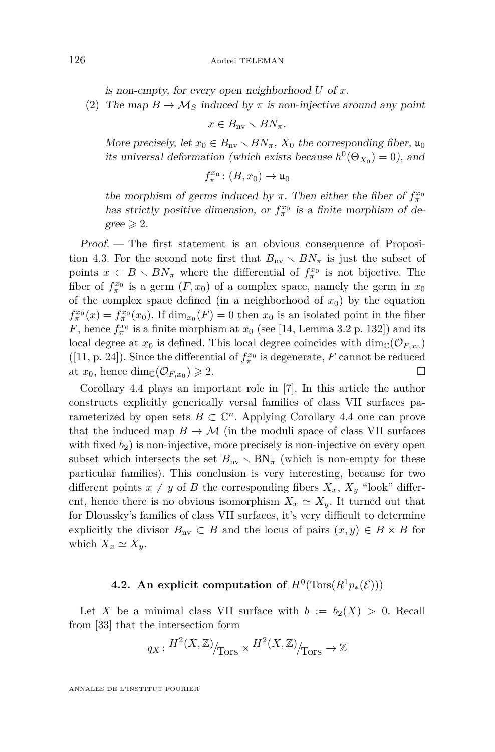is non-empty, for every open neighborhood *U* of *x*.

(2) The map  $B \to M_S$  induced by  $\pi$  is non-injective around any point

 $x \in B_{\text{nv}} \setminus BN_{\pi}$ .

More precisely, let  $x_0 \in B_{nv} \setminus BN_{\pi}$ ,  $X_0$  the corresponding fiber,  $\mathfrak{u}_0$ its universal deformation (which exists because  $h^0(\Theta_{X_0}) = 0$ ), and

 $f_{\pi}^{x_0}$ :  $(B, x_0) \rightarrow \mathfrak{u}_0$ 

the morphism of germs induced by  $\pi$ . Then either the fiber of  $f_{\pi}^{x_0}$ has strictly positive dimension, or  $f_{\pi}^{x_0}$  is a finite morphism of de- $\text{gree} \geqslant 2.$ 

Proof. — The first statement is an obvious consequence of Proposi-tion [4.3.](#page-25-0) For the second note first that  $B_{\text{nv}} \setminus BN_{\pi}$  is just the subset of points  $x \in B \setminus BN_{\pi}$  where the differential of  $f_{\pi}^{x_0}$  is not bijective. The fiber of  $f_{\pi}^{x_0}$  is a germ  $(F, x_0)$  of a complex space, namely the germ in  $x_0$ of the complex space defined (in a neighborhood of  $x_0$ ) by the equation  $f_{\pi}^{x_0}(x) = f_{\pi}^{x_0}(x_0)$ . If  $\dim_{x_0}(F) = 0$  then  $x_0$  is an isolated point in the fiber *F*, hence  $f_{\pi}^{x_0}$  is a finite morphism at  $x_0$  (see [\[14,](#page-35-0) Lemma 3.2 p. 132]) and its local degree at  $x_0$  is defined. This local degree coincides with  $\dim_{\mathbb{C}}(\mathcal{O}_{F,x_0})$ ([\[11,](#page-35-0) p. 24]). Since the differential of  $f_{\pi}^{x_0}$  is degenerate,  $F$  cannot be reduced at  $x_0$ , hence dim<sub>C</sub>( $\mathcal{O}_{F,x_0}$ )  $\geq 2$ .  $) \geqslant 2.$ 

Corollary [4.4](#page-25-0) plays an important role in [\[7\]](#page-35-0). In this article the author constructs explicitly generically versal families of class VII surfaces parameterized by open sets  $B \subset \mathbb{C}^n$ . Applying Corollary [4.4](#page-25-0) one can prove that the induced map  $B \to \mathcal{M}$  (in the moduli space of class VII surfaces with fixed  $b_2$ ) is non-injective, more precisely is non-injective on every open subset which intersects the set  $B_{\text{nv}} \setminus BN_{\pi}$  (which is non-empty for these particular families). This conclusion is very interesting, because for two different points  $x \neq y$  of *B* the corresponding fibers  $X_x$ ,  $X_y$  "look" different, hence there is no obvious isomorphism  $X_x \simeq X_y$ . It turned out that for Dloussky's families of class VII surfaces, it's very difficult to determine explicitly the divisor  $B_{\text{nv}} \subset B$  and the locus of pairs  $(x, y) \in B \times B$  for which  $X_x \simeq X_y$ .

# **4.2.** An explicit computation of  $H^0(\text{Tors}(R^1p_*(\mathcal{E})))$

Let X be a minimal class VII surface with  $b := b_2(X) > 0$ . Recall from [\[33\]](#page-36-0) that the intersection form

$$
q_X: H^2(X, \mathbb{Z})/_{\text{Tors}} \times H^2(X, \mathbb{Z})/_{\text{Tors}} \to \mathbb{Z}
$$

ANNALES DE L'INSTITUT FOURIER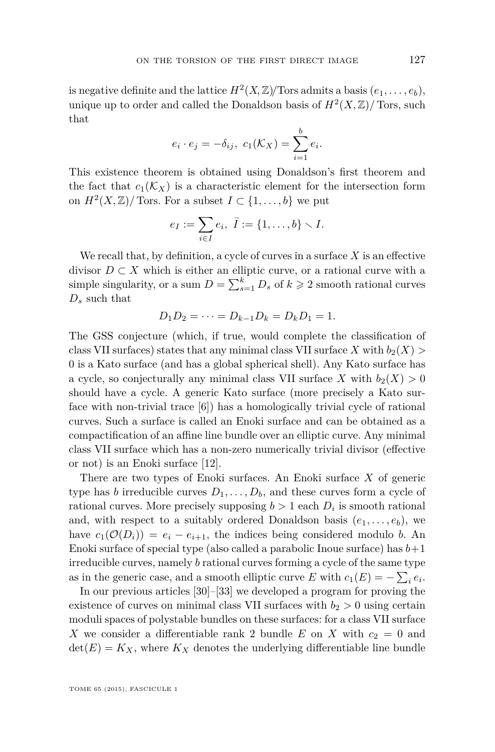is negative definite and the lattice  $H^2(X, \mathbb{Z})$ /Tors admits a basis  $(e_1, \ldots, e_b)$ , unique up to order and called the Donaldson basis of  $H^2(X, \mathbb{Z})$ / Tors, such that

$$
e_i \cdot e_j = -\delta_{ij}, \ c_1(\mathcal{K}_X) = \sum_{i=1}^b e_i.
$$

This existence theorem is obtained using Donaldson's first theorem and the fact that  $c_1(\mathcal{K}_X)$  is a characteristic element for the intersection form on  $H^2(X, \mathbb{Z})$  / Tors. For a subset  $I \subset \{1, \ldots, b\}$  we put

$$
e_I := \sum_{i \in I} e_i, \ \bar{I} := \{1, \ldots, b\} \setminus I.
$$

We recall that, by definition, a cycle of curves in a surface *X* is an effective divisor  $D \subset X$  which is either an elliptic curve, or a rational curve with a simple singularity, or a sum  $D = \sum_{s=1}^{k} D_s$  of  $k \ge 2$  smooth rational curves *D<sup>s</sup>* such that

$$
D_1 D_2 = \cdots = D_{k-1} D_k = D_k D_1 = 1.
$$

The GSS conjecture (which, if true, would complete the classification of class VII surfaces) states that any minimal class VII surface *X* with  $b_2(X)$ 0 is a Kato surface (and has a global spherical shell). Any Kato surface has a cycle, so conjecturally any minimal class VII surface X with  $b_2(X) > 0$ should have a cycle. A generic Kato surface (more precisely a Kato surface with non-trivial trace [\[6\]](#page-35-0)) has a homologically trivial cycle of rational curves. Such a surface is called an Enoki surface and can be obtained as a compactification of an affine line bundle over an elliptic curve. Any minimal class VII surface which has a non-zero numerically trivial divisor (effective or not) is an Enoki surface [\[12\]](#page-35-0).

There are two types of Enoki surfaces. An Enoki surface *X* of generic type has *b* irreducible curves  $D_1, \ldots, D_b$ , and these curves form a cycle of rational curves. More precisely supposing  $b > 1$  each  $D_i$  is smooth rational and, with respect to a suitably ordered Donaldson basis  $(e_1, \ldots, e_b)$ , we have  $c_1(\mathcal{O}(D_i)) = e_i - e_{i+1}$ , the indices being considered modulo *b*. An Enoki surface of special type (also called a parabolic Inoue surface) has  $b+1$ irreducible curves, namely *b* rational curves forming a cycle of the same type as in the generic case, and a smooth elliptic curve *E* with  $c_1(E) = -\sum_i e_i$ .

In our previous articles [\[30\]](#page-36-0)–[\[33\]](#page-36-0) we developed a program for proving the existence of curves on minimal class VII surfaces with  $b_2 > 0$  using certain moduli spaces of polystable bundles on these surfaces: for a class VII surface X we consider a differentiable rank 2 bundle  $E$  on  $X$  with  $c_2 = 0$  and  $\det(E) = K_X$ , where  $K_X$  denotes the underlying differentiable line bundle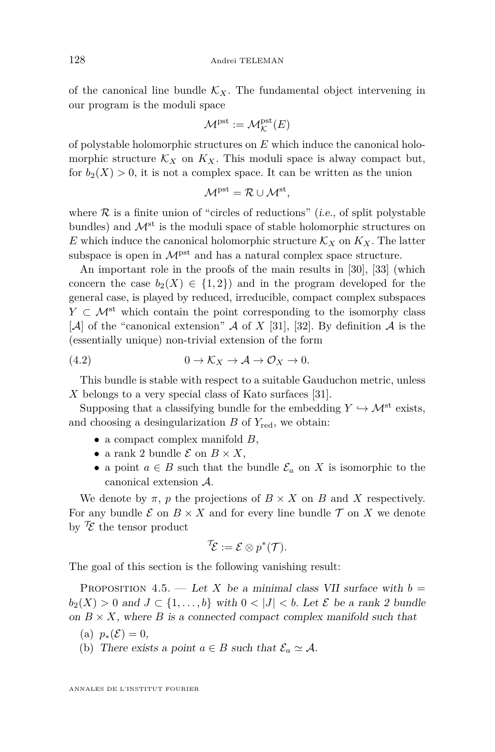<span id="page-28-0"></span>of the canonical line bundle  $\mathcal{K}_X$ . The fundamental object intervening in our program is the moduli space

$$
\mathcal{M}^{\mathrm{pst}} := \mathcal{M}^{\mathrm{pst}}_{\mathcal{K}}(E)
$$

of polystable holomorphic structures on *E* which induce the canonical holomorphic structure  $\mathcal{K}_X$  on  $K_X$ . This moduli space is alway compact but, for  $b_2(X) > 0$ , it is not a complex space. It can be written as the union

$$
{\mathcal M}^{\rm pst}={\mathcal R}\cup {\mathcal M}^{\rm st},
$$

where  $R$  is a finite union of "circles of reductions" (*i.e.*, of split polystable bundles) and  $\mathcal{M}^{st}$  is the moduli space of stable holomorphic structures on E which induce the canonical holomorphic structure  $\mathcal{K}_X$  on  $K_X$ . The latter subspace is open in  $\mathcal{M}^{\text{pst}}$  and has a natural complex space structure.

An important role in the proofs of the main results in [\[30\]](#page-36-0), [\[33\]](#page-36-0) (which concern the case  $b_2(X) \in \{1,2\}$  and in the program developed for the general case, is played by reduced, irreducible, compact complex subspaces  $Y \subset \mathcal{M}^{\text{st}}$  which contain the point corresponding to the isomorphy class  $[\mathcal{A}]$  of the "canonical extension"  $\mathcal{A}$  of  $X$  [\[31\]](#page-36-0), [\[32\]](#page-36-0). By definition  $\mathcal{A}$  is the (essentially unique) non-trivial extension of the form

(4.2) 
$$
0 \to \mathcal{K}_X \to \mathcal{A} \to \mathcal{O}_X \to 0.
$$

This bundle is stable with respect to a suitable Gauduchon metric, unless *X* belongs to a very special class of Kato surfaces [\[31\]](#page-36-0).

Supposing that a classifying bundle for the embedding  $Y \hookrightarrow \mathcal{M}^{\text{st}}$  exists, and choosing a desingularization  $B$  of  $Y_{\text{red}}$ , we obtain:

- a compact complex manifold *B*,
- a rank 2 bundle  $\mathcal E$  on  $B \times X$ ,
- a point  $a \in B$  such that the bundle  $\mathcal{E}_a$  on X is isomorphic to the canonical extension A.

We denote by  $\pi$ , *p* the projections of  $B \times X$  on *B* and *X* respectively. For any bundle  $\mathcal E$  on  $B \times X$  and for every line bundle  $\mathcal T$  on  $X$  we denote by  $\mathcal{F}$  the tensor product

$$
\mathcal{T}_{\mathcal{E}} := \mathcal{E} \otimes p^*(\mathcal{T}).
$$

The goal of this section is the following vanishing result:

PROPOSITION 4.5. — Let *X* be a minimal class VII surface with  $b =$  $b_2(X) > 0$  and  $J \subset \{1, \ldots, b\}$  with  $0 < |J| < b$ . Let  $\mathcal E$  be a rank 2 bundle on  $B \times X$ , where *B* is a connected compact complex manifold such that

- (a)  $p_*(\mathcal{E}) = 0$ ,
- (b) There exists a point  $a \in B$  such that  $\mathcal{E}_a \simeq \mathcal{A}$ .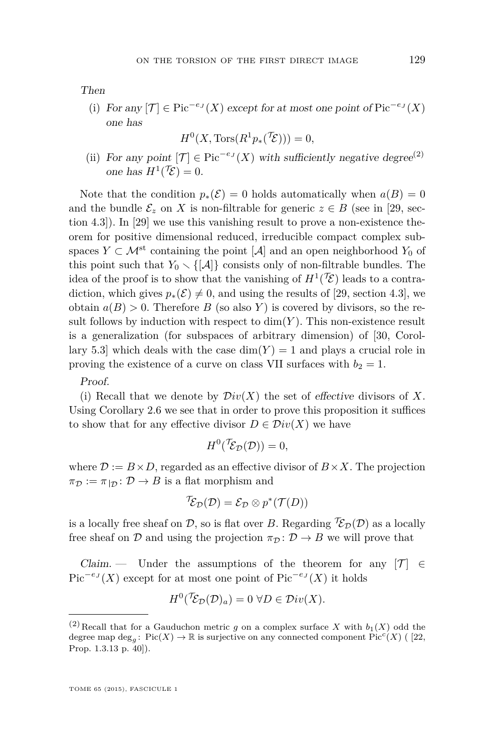Then

(i) For any  $[T]$  ∈ Pic<sup> $-e_J$ </sup>(*X*) except for at most one point of Pic<sup> $-e_J$ </sup>(*X*) one has

$$
H^0(X, \text{Tors}(R^1 p_*(\mathcal{T}\mathcal{E}))) = 0,
$$

(ii) For any point  $[\mathcal{T}] \in \text{Pic}^{-e_J}(X)$  with sufficiently negative degree<sup>(2)</sup> one has  $H^1(\mathcal{T}\mathcal{E})=0$ .

Note that the condition  $p_*(\mathcal{E}) = 0$  holds automatically when  $a(B) = 0$ and the bundle  $\mathcal{E}_z$  on *X* is non-filtrable for generic  $z \in B$  (see in [\[29,](#page-36-0) section 4.3]). In [\[29\]](#page-36-0) we use this vanishing result to prove a non-existence theorem for positive dimensional reduced, irreducible compact complex subspaces  $Y \subset \mathcal{M}^{st}$  containing the point  $[\mathcal{A}]$  and an open neighborhood  $Y_0$  of this point such that  $Y_0 \setminus \{[\mathcal{A}]\}\)$  consists only of non-filtrable bundles. The idea of the proof is to show that the vanishing of  $H^1(\mathcal{T}\mathcal{E})$  leads to a contradiction, which gives  $p_*(\mathcal{E}) \neq 0$ , and using the results of [\[29,](#page-36-0) section 4.3], we obtain  $a(B) > 0$ . Therefore *B* (so also *Y*) is covered by divisors, so the result follows by induction with respect to  $\dim(Y)$ . This non-existence result is a generalization (for subspaces of arbitrary dimension) of [\[30,](#page-36-0) Corollary 5.3] which deals with the case  $dim(Y) = 1$  and plays a crucial role in proving the existence of a curve on class VII surfaces with  $b_2 = 1$ .

Proof.

(i) Recall that we denote by  $\mathcal{D}iv(X)$  the set of effective divisors of X. Using Corollary [2.6](#page-14-0) we see that in order to prove this proposition it suffices to show that for any effective divisor  $D \in \mathcal{D}iv(X)$  we have

$$
H^0(\mathcal{I}_{\mathcal{D}}(\mathcal{D}))=0,
$$

where  $\mathcal{D} := B \times D$ , regarded as an effective divisor of  $B \times X$ . The projection  $\pi_{\mathcal{D}} := \pi_{\mathcal{D}} : \mathcal{D} \to B$  is a flat morphism and

$$
\mathcal{T}_{\mathcal{E}_{\mathcal{D}}}(\mathcal{D})=\mathcal{E}_{\mathcal{D}}\otimes p^{\ast}(\mathcal{T}(D))
$$

is a locally free sheaf on D, so is flat over B. Regarding  $\mathcal{E}_{\mathcal{D}}(\mathcal{D})$  as a locally free sheaf on D and using the projection  $\pi_{\mathcal{D}}: \mathcal{D} \to B$  we will prove that

Claim. — Under the assumptions of the theorem for any  $|\mathcal{T}| \in$ Pic<sup> $-e_J(X)$ </sup> except for at most one point of Pic<sup> $-e_J(X)$ </sup> it holds

$$
H^0(\mathcal{T}_{\mathcal{E}_{\mathcal{D}}}(\mathcal{D})_a) = 0 \,\forall D \in \mathcal{D}iv(X).
$$

<sup>&</sup>lt;sup>(2)</sup>Recall that for a Gauduchon metric *g* on a complex surface *X* with  $b_1(X)$  odd the degree map  $\deg_g$ :  $Pic(X) \to \mathbb{R}$  is surjective on any connected component  $Pic^c(X)$  ([\[22,](#page-36-0) Prop. 1.3.13 p. 40]).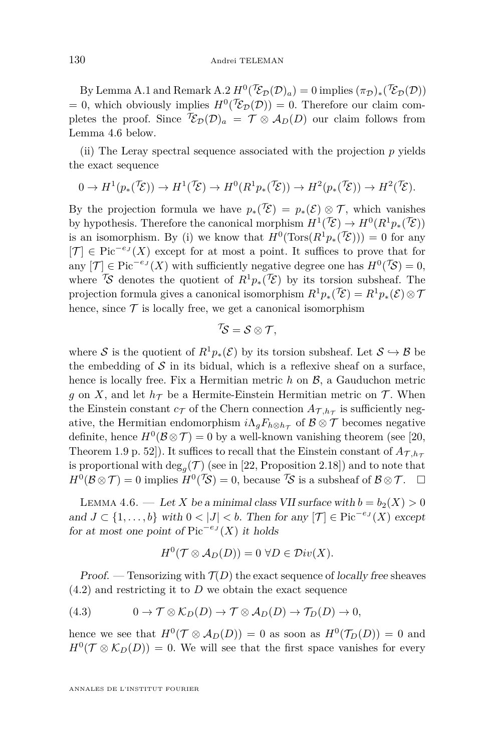By Lemma [A.1](#page-34-0) and Remark [A.2](#page-35-0)  $H^0(\mathcal{F}_{\mathcal{D}}(\mathcal{D})_a) = 0$  implies  $(\pi_{\mathcal{D}})_*(\mathcal{F}_{\mathcal{D}}(\mathcal{D}))$  $= 0$ , which obviously implies  $H^0(\mathcal{F}_D(\mathcal{D})) = 0$ . Therefore our claim completes the proof. Since  $\mathcal{I}_{\mathcal{E}_{\mathcal{D}}(\mathcal{D})_a} = \mathcal{T} \otimes \mathcal{A}_{D}(D)$  our claim follows from Lemma 4.6 below.

(ii) The Leray spectral sequence associated with the projection *p* yields the exact sequence

$$
0 \to H^1(p_*(\mathcal{T}\mathcal{E})) \to H^1(\mathcal{T}\mathcal{E}) \to H^0(R^1p_*(\mathcal{T}\mathcal{E})) \to H^2(p_*(\mathcal{T}\mathcal{E})) \to H^2(\mathcal{T}\mathcal{E}).
$$

By the projection formula we have  $p_*(\mathcal{F}) = p_*(\mathcal{E}) \otimes \mathcal{T}$ , which vanishes by hypothesis. Therefore the canonical morphism  $H^1(\mathcal{T}\mathcal{E}) \to H^0(R^1p_*(\mathcal{T}\mathcal{E}))$ is an isomorphism. By (i) we know that  $H^0(\text{Tors}(R^1p_*(\mathcal{T}\mathcal{E}))) = 0$  for any [T] ∈ Pic<sup> $-e_J$ </sup>(X) except for at most a point. It suffices to prove that for any  $[\mathcal{T}] \in \text{Pic}^{-e_J}(X)$  with sufficiently negative degree one has  $H^0(\mathcal{T}\mathcal{S}) = 0$ , where <sup> $\mathcal{T}_{\mathcal{S}}$  denotes the quotient of  $R^1p_*(\mathcal{T}_{\mathcal{E}})$  by its torsion subsheaf. The</sup> projection formula gives a canonical isomorphism  $R^1p_*(\mathcal{TE}) = R^1p_*(\mathcal{E}) \otimes \mathcal{T}$ hence, since  $\mathcal T$  is locally free, we get a canonical isomorphism

$$
{}^{\mathcal{T}}\hspace{-1pt}\mathcal{S}=\mathcal{S}\otimes\mathcal{T},
$$

where S is the quotient of  $R^1p_*(\mathcal{E})$  by its torsion subsheaf. Let  $\mathcal{S} \hookrightarrow \mathcal{B}$  be the embedding of  $S$  in its bidual, which is a reflexive sheaf on a surface, hence is locally free. Fix a Hermitian metric *h* on B, a Gauduchon metric *g* on *X*, and let  $h_{\mathcal{T}}$  be a Hermite-Einstein Hermitian metric on  $\mathcal{T}$ . When the Einstein constant  $c_{\mathcal{T}}$  of the Chern connection  $A_{\mathcal{T},h_{\mathcal{T}}}$  is sufficiently negative, the Hermitian endomorphism  $i\Lambda_g F_{h\otimes h_{\mathcal{T}}}$  of  $\mathcal{B}\otimes\mathcal{T}$  becomes negative definite, hence  $H^0(\mathcal{B} \otimes \mathcal{T}) = 0$  by a well-known vanishing theorem (see [\[20,](#page-36-0) Theorem 1.9 p. 52]). It suffices to recall that the Einstein constant of  $A_{\tau,h_{\tau}}$ is proportional with  $\deg_g(\mathcal{T})$  (see in [\[22,](#page-36-0) Proposition 2.18]) and to note that  $H^0(\mathcal{B}\otimes\mathcal{T})=0$  implies  $H^0(\mathcal{T}\mathcal{S})=0$ , because  $\mathcal{T}\mathcal{S}$  is a subsheaf of  $\mathcal{B}\otimes\mathcal{T}$ .  $\square$ 

LEMMA 4.6. — Let *X* be a minimal class VII surface with  $b = b_2(X) > 0$ and  $J \subset \{1, \ldots, b\}$  with  $0 < |J| < b$ . Then for any  $[\mathcal{T}] \in \text{Pic}^{-e_J}(X)$  except for at most one point of  $Pic^{-e_J}(X)$  it holds

$$
H^0(\mathcal{T}\otimes \mathcal{A}_D(D))=0 \,\,\forall D\in \mathcal{D}iv(X).
$$

Proof. — Tensorizing with  $\mathcal{T}(D)$  the exact sequence of locally free sheaves [\(4.2\)](#page-28-0) and restricting it to *D* we obtain the exact sequence

(4.3) 
$$
0 \to \mathcal{T} \otimes \mathcal{K}_D(D) \to \mathcal{T} \otimes \mathcal{A}_D(D) \to \mathcal{T}_D(D) \to 0,
$$

hence we see that  $H^0(\mathcal{T} \otimes A_D(D)) = 0$  as soon as  $H^0(\mathcal{T}_D(D)) = 0$  and  $H^0(\mathcal{T} \otimes \mathcal{K}_D(D)) = 0$ . We will see that the first space vanishes for every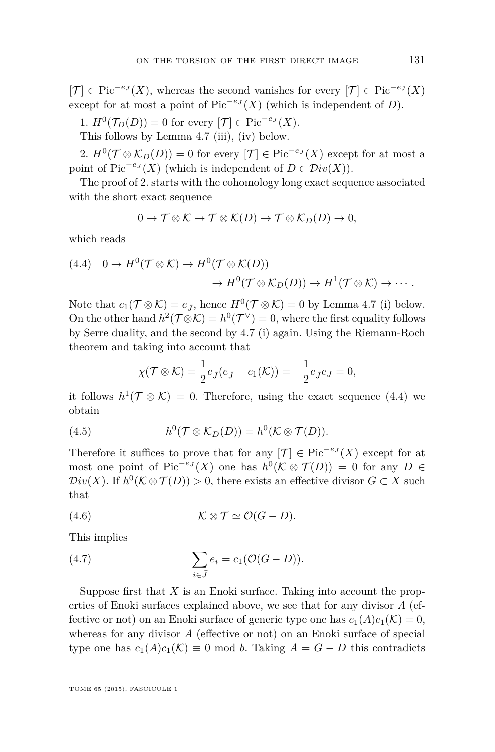<span id="page-31-0"></span> $[\mathcal{T}] \in \text{Pic}^{-e_J}(X)$ , whereas the second vanishes for every  $[\mathcal{T}] \in \text{Pic}^{-e_J}(X)$ except for at most a point of  $Pic^{-e_J}(X)$  (which is independent of *D*).

1. 
$$
H^0(\mathcal{T}_D(D)) = 0
$$
 for every  $[\mathcal{T}] \in Pic^{-e_J}(X)$ .

This follows by Lemma [4.7](#page-32-0) (iii), (iv) below.

2.  $H^0(\mathcal{T} \otimes \mathcal{K}_D(D)) = 0$  for every  $[\mathcal{T}] \in \text{Pic}^{-e_J}(X)$  except for at most a point of  $Pic^{-e_J}(X)$  (which is independent of  $D \in \mathcal{D}iv(X)$ ).

The proof of 2. starts with the cohomology long exact sequence associated with the short exact sequence

$$
0 \to \mathcal{T} \otimes \mathcal{K} \to \mathcal{T} \otimes \mathcal{K}(D) \to \mathcal{T} \otimes \mathcal{K}_D(D) \to 0,
$$

which reads

(4.4) 
$$
0 \to H^0(\mathcal{T} \otimes \mathcal{K}) \to H^0(\mathcal{T} \otimes \mathcal{K}(D))
$$
  
 $\to H^0(\mathcal{T} \otimes \mathcal{K}_D(D)) \to H^1(\mathcal{T} \otimes \mathcal{K}) \to \cdots$ 

Note that  $c_1(\mathcal{T} \otimes \mathcal{K}) = e_{\bar{J}}$ , hence  $H^0(\mathcal{T} \otimes \mathcal{K}) = 0$  by Lemma [4.7](#page-32-0) (i) below. On the other hand  $h^2(\mathcal{T}\otimes\mathcal{K})=h^0(\mathcal{T}^{\vee})=0$ , where the first equality follows by Serre duality, and the second by [4.7](#page-32-0) (i) again. Using the Riemann-Roch theorem and taking into account that

$$
\chi(\mathcal{T} \otimes \mathcal{K}) = \frac{1}{2} e_{\bar{J}} (e_{\bar{J}} - c_1(\mathcal{K})) = -\frac{1}{2} e_{\bar{J}} e_J = 0,
$$

it follows  $h^1(\mathcal{T} \otimes \mathcal{K}) = 0$ . Therefore, using the exact sequence (4.4) we obtain

(4.5) 
$$
h^0(\mathcal{T}\otimes\mathcal{K}_D(D))=h^0(\mathcal{K}\otimes\mathcal{T}(D)).
$$

Therefore it suffices to prove that for any  $[\mathcal{T}] \in Pic^{-e_J}(X)$  except for at most one point of Pic<sup> $-e_J(X)$ </sup> one has  $h^0(\mathcal{K} \otimes \mathcal{T}(D)) = 0$  for any *D* ∈  $Div(X)$ . If  $h^0(\mathcal{K} \otimes \mathcal{T}(D)) > 0$ , there exists an effective divisor  $G \subset X$  such that

$$
(4.6) \t\t\t\t\t\mathcal{K} \otimes \mathcal{T} \simeq \mathcal{O}(G-D).
$$

This implies

(4.7) 
$$
\sum_{i \in \bar{J}} e_i = c_1(\mathcal{O}(G - D)).
$$

Suppose first that *X* is an Enoki surface. Taking into account the properties of Enoki surfaces explained above, we see that for any divisor *A* (effective or not) on an Enoki surface of generic type one has  $c_1(A)c_1(\mathcal{K})=0$ , whereas for any divisor *A* (effective or not) on an Enoki surface of special type one has  $c_1(A)c_1(\mathcal{K}) \equiv 0 \mod b$ . Taking  $A = G - D$  this contradicts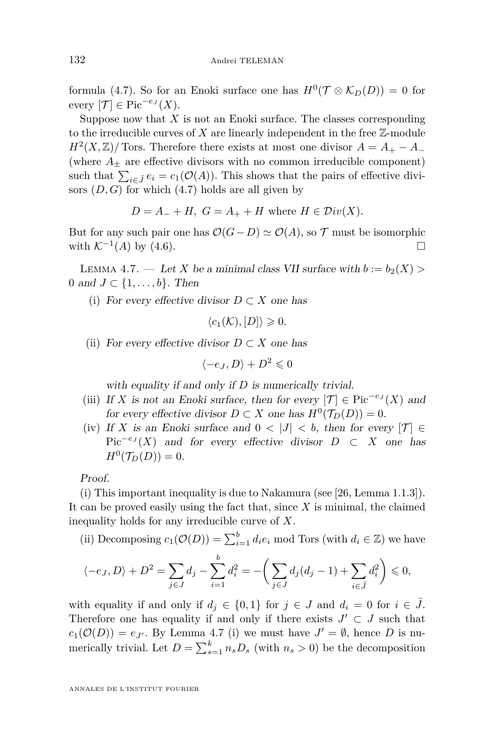<span id="page-32-0"></span>formula [\(4.7\)](#page-31-0). So for an Enoki surface one has  $H^0(\mathcal{T} \otimes \mathcal{K}_D(D)) = 0$  for every  $[\mathcal{T}] \in Pic^{-e_J}(X)$ .

Suppose now that *X* is not an Enoki surface. The classes corresponding to the irreducible curves of  $X$  are linearly independent in the free  $\mathbb{Z}$ -module  $H^2(X,\mathbb{Z})$ / Tors. Therefore there exists at most one divisor  $A = A_+ - A_-$ (where  $A_{\pm}$  are effective divisors with no common irreducible component) such that  $\sum_{i \in \bar{J}} e_i = c_1(\mathcal{O}(A))$ . This shows that the pairs of effective divisors  $(D, G)$  for which  $(4.7)$  holds are all given by

$$
D = A_- + H, \ G = A_+ + H \text{ where } H \in \mathcal{D}iv(X).
$$

But for any such pair one has  $\mathcal{O}(G-D) \simeq \mathcal{O}(A)$ , so  $\mathcal T$  must be isomorphic with  $\mathcal{K}^{-1}(A)$  by [\(4.6\)](#page-31-0).

LEMMA 4.7. — Let *X* be a minimal class VII surface with  $b := b_2(X)$ 0 and  $J \subset \{1, \ldots, b\}$ . Then

(i) For every effective divisor  $D \subset X$  one has

$$
\langle c_1(\mathcal{K}), [D] \rangle \geq 0.
$$

(ii) For every effective divisor  $D \subset X$  one has

$$
\langle -e_J,D\rangle +D^2\leqslant 0
$$

with equality if and only if *D* is numerically trivial.

- (iii) If *X* is not an Enoki surface, then for every  $[\mathcal{T}] \in Pic^{-e_J}(X)$  and for every effective divisor  $D \subset X$  one has  $H^0(\mathcal{T}_D(D)) = 0$ .
- (iv) If *X* is an Enoki surface and  $0 < |J| < b$ , then for every  $|{\mathcal{T}}| \in$ Pic<sup> $-e_j(X)$ </sup> and for every effective divisor  $D \subset X$  one has  $H^0(\mathcal{T}_D(D)) = 0.$

#### Proof.

(i) This important inequality is due to Nakamura (see [\[26,](#page-36-0) Lemma 1.1.3]).

It can be proved easily using the fact that, since *X* is minimal, the claimed inequality holds for any irreducible curve of *X*.

(ii) Decomposing  $c_1(\mathcal{O}(D)) = \sum_{i=1}^b d_i e_i$  mod Tors (with  $d_i \in \mathbb{Z}$ ) we have

$$
\langle -e_J, D \rangle + D^2 = \sum_{j \in J} d_j - \sum_{i=1}^b d_i^2 = -\left(\sum_{j \in J} d_j(d_j - 1) + \sum_{i \in \bar{J}} d_i^2\right) \leq 0,
$$

with equality if and only if  $d_i \in \{0,1\}$  for  $j \in J$  and  $d_i = 0$  for  $i \in \overline{J}$ . Therefore one has equality if and only if there exists  $J' \subset J$  such that  $c_1(\mathcal{O}(D)) = e_{J'}$ . By Lemma 4.7 (i) we must have  $J' = \emptyset$ , hence *D* is numerically trivial. Let  $D = \sum_{s=1}^{k} n_s D_s$  (with  $n_s > 0$ ) be the decomposition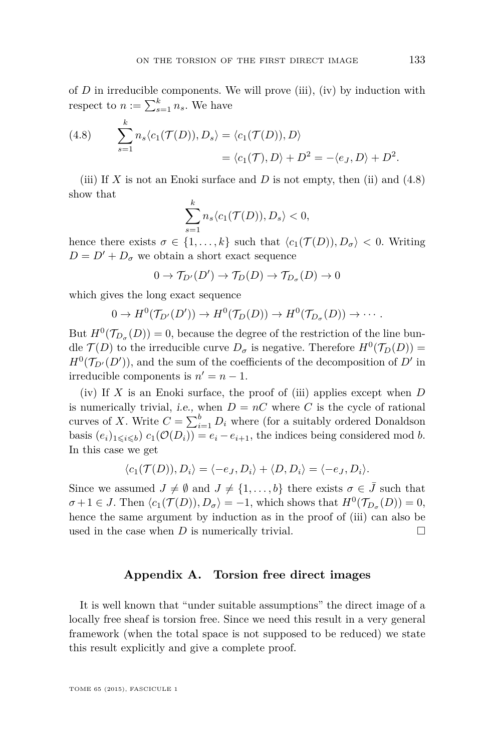of  $D$  in irreducible components. We will prove (iii), (iv) by induction with respect to  $n := \sum_{s=1}^{k} n_s$ . We have

(4.8) 
$$
\sum_{s=1}^{k} n_s \langle c_1(\mathcal{T}(D)), D_s \rangle = \langle c_1(\mathcal{T}(D)), D \rangle
$$

$$
= \langle c_1(\mathcal{T}), D \rangle + D^2 = -\langle e_J, D \rangle + D^2.
$$

(iii) If  $X$  is not an Enoki surface and  $D$  is not empty, then (ii) and  $(4.8)$ show that

$$
\sum_{s=1}^k n_s \langle c_1(\mathcal{T}(D)), D_s \rangle < 0,
$$

hence there exists  $\sigma \in \{1, \ldots, k\}$  such that  $\langle c_1(\mathcal{T}(D)), D_{\sigma} \rangle < 0$ . Writing  $D = D' + D_{\sigma}$  we obtain a short exact sequence

$$
0 \to \mathcal{T}_{D'}(D') \to \mathcal{T}_D(D) \to \mathcal{T}_{D_{\sigma}}(D) \to 0
$$

which gives the long exact sequence

$$
0 \to H^0(\mathcal{T}_{D'}(D')) \to H^0(\mathcal{T}_D(D)) \to H^0(\mathcal{T}_{D_{\sigma}}(D)) \to \cdots.
$$

But  $H^0(\mathcal{T}_{D_{\sigma}}(D))=0$ , because the degree of the restriction of the line bundle  $\mathcal{T}(D)$  to the irreducible curve  $D_{\sigma}$  is negative. Therefore  $H^0(\mathcal{T}_D(D))$  =  $H^0(\mathcal{T}_{D^\prime}(D^\prime))$ , and the sum of the coefficients of the decomposition of  $D^\prime$  in irreducible components is  $n' = n - 1$ .

(iv) If *X* is an Enoki surface, the proof of (iii) applies except when *D* is numerically trivial, *i.e.*, when  $D = nC$  where *C* is the cycle of rational curves of *X*. Write  $C = \sum_{i=1}^{b} D_i$  where (for a suitably ordered Donaldson basis  $(e_i)_{1\leq i\leq b}$   $c_1(\mathcal{O}(D_i)) = e_i - e_{i+1}$ , the indices being considered mod *b*. In this case we get

$$
\langle c_1(\mathcal{T}(D)), D_i \rangle = \langle -e_J, D_i \rangle + \langle D, D_i \rangle = \langle -e_J, D_i \rangle.
$$

Since we assumed  $J \neq \emptyset$  and  $J \neq \{1, ..., b\}$  there exists  $\sigma \in \overline{J}$  such that  $\sigma + 1 \in J$ . Then  $\langle c_1(\mathcal{T}(D)), D_{\sigma} \rangle = -1$ , which shows that  $H^0(\mathcal{T}_{D_{\sigma}}(D)) = 0$ , hence the same argument by induction as in the proof of (iii) can also be used in the case when  $D$  is numerically trivial.

### **Appendix A. Torsion free direct images**

It is well known that "under suitable assumptions" the direct image of a locally free sheaf is torsion free. Since we need this result in a very general framework (when the total space is not supposed to be reduced) we state this result explicitly and give a complete proof.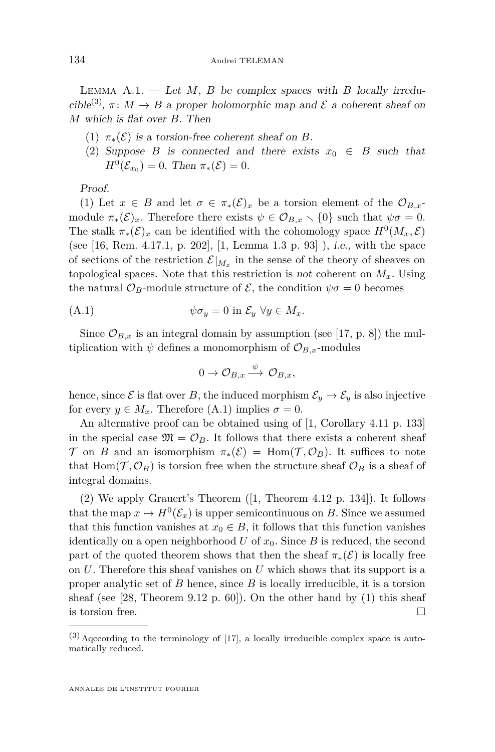<span id="page-34-0"></span>LEMMA  $A.1.$  — Let  $M$ ,  $B$  be complex spaces with  $B$  locally irreducible<sup>(3)</sup>,  $\pi: M \to B$  a proper holomorphic map and  $\mathcal E$  a coherent sheaf on *M* which is flat over *B*. Then

- (1)  $\pi_*(\mathcal{E})$  is a torsion-free coherent sheaf on *B*.
- (2) Suppose *B* is connected and there exists  $x_0 \in B$  such that  $H^0(\mathcal{E}_{x_0}) = 0$ . Then  $\pi_*(\mathcal{E}) = 0$ .

Proof.

(1) Let  $x \in B$  and let  $\sigma \in \pi_*(\mathcal{E})_x$  be a torsion element of the  $\mathcal{O}_{B,x}$ module  $\pi_*(\mathcal{E})_x$ . Therefore there exists  $\psi \in \mathcal{O}_{B,x} \setminus \{0\}$  such that  $\psi \sigma = 0$ . The stalk  $\pi_*(\mathcal{E})_x$  can be identified with the cohomology space  $H^0(M_x, \mathcal{E})$ (see [\[16,](#page-35-0) Rem. 4.17.1, p. 202], [\[1,](#page-35-0) Lemma 1.3 p. 93] ), i.e., with the space of sections of the restriction  $\mathcal{E}|_{M_x}$  in the sense of the theory of sheaves on topological spaces. Note that this restriction is not coherent on  $M_x$ . Using the natural  $\mathcal{O}_B$ -module structure of  $\mathcal{E}$ , the condition  $\psi \sigma = 0$  becomes

$$
(A.1) \t\t \psi \sigma_y = 0 \text{ in } \mathcal{E}_y \ \forall y \in M_x.
$$

Since  $\mathcal{O}_{B,x}$  is an integral domain by assumption (see [\[17,](#page-35-0) p. 8]) the multiplication with  $\psi$  defines a monomorphism of  $\mathcal{O}_{B,x}$ -modules

$$
0 \to {\mathcal O}_{B,x} \stackrel{\psi}{\longrightarrow} {\mathcal O}_{B,x},
$$

hence, since  $\mathcal E$  is flat over *B*, the induced morphism  $\mathcal E_y \to \mathcal E_y$  is also injective for every  $y \in M_x$ . Therefore (A.1) implies  $\sigma = 0$ .

An alternative proof can be obtained using of [\[1,](#page-35-0) Corollary 4.11 p. 133] in the special case  $\mathfrak{M} = \mathcal{O}_B$ . It follows that there exists a coherent sheaf T on *B* and an isomorphism  $\pi_*(\mathcal{E}) = \text{Hom}(\mathcal{T}, \mathcal{O}_B)$ . It suffices to note that  $Hom(\mathcal{T}, \mathcal{O}_B)$  is torsion free when the structure sheaf  $\mathcal{O}_B$  is a sheaf of integral domains.

(2) We apply Grauert's Theorem ([\[1,](#page-35-0) Theorem 4.12 p. 134]). It follows that the map  $x \mapsto H^0(\mathcal{E}_x)$  is upper semicontinuous on *B*. Since we assumed that this function vanishes at  $x_0 \in B$ , it follows that this function vanishes identically on a open neighborhood *U* of *x*0. Since *B* is reduced, the second part of the quoted theorem shows that then the sheaf  $\pi_*(\mathcal{E})$  is locally free on *U*. Therefore this sheaf vanishes on *U* which shows that its support is a proper analytic set of *B* hence, since *B* is locally irreducible, it is a torsion sheaf (see [\[28,](#page-36-0) Theorem 9.12 p. 60]). On the other hand by (1) this sheaf is torsion free.

 $(3)$  Aqccording to the terminology of [\[17\]](#page-35-0), a locally irreducible complex space is automatically reduced.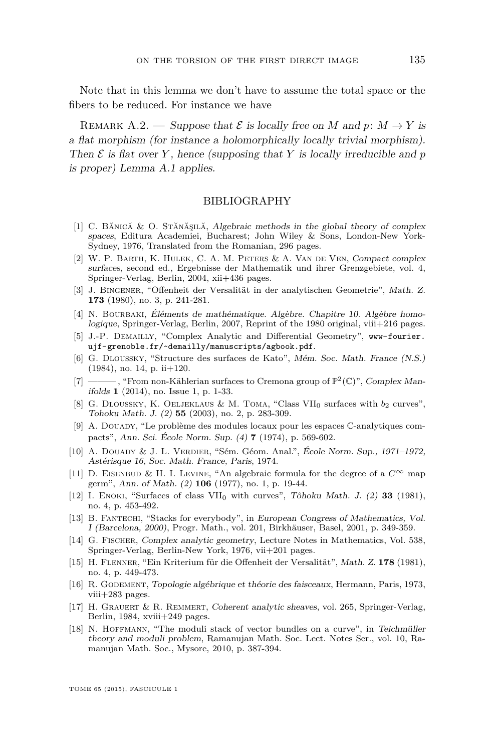<span id="page-35-0"></span>Note that in this lemma we don't have to assume the total space or the fibers to be reduced. For instance we have

REMARK A.2. — Suppose that  $\mathcal E$  is locally free on *M* and  $p: M \to Y$  is a flat morphism (for instance a holomorphically locally trivial morphism). Then  $\mathcal E$  is flat over *Y*, hence (supposing that *Y* is locally irreducible and  $p$ is proper) Lemma [A.1](#page-34-0) applies.

#### BIBLIOGRAPHY

- [1] C. Bănică & O. Stănăşilă, Algebraic methods in the global theory of complex spaces, Editura Academiei, Bucharest; John Wiley & Sons, London-New York-Sydney, 1976, Translated from the Romanian, 296 pages.
- [2] W. P. Barth, K. Hulek, C. A. M. Peters & A. Van de Ven, Compact complex surfaces, second ed., Ergebnisse der Mathematik und ihrer Grenzgebiete, vol. 4, Springer-Verlag, Berlin, 2004, xii+436 pages.
- [3] J. Bingener, "Offenheit der Versalität in der analytischen Geometrie", Math. Z. **173** (1980), no. 3, p. 241-281.
- [4] N. Bourbaki, Éléments de mathématique. Algèbre. Chapitre 10. Algèbre homologique, Springer-Verlag, Berlin, 2007, Reprint of the 1980 original, viii+216 pages.
- [5] J.-P. DEMAILLY, "Complex Analytic and Differential Geometry", [www-fourier.](www-fourier.ujf-grenoble.fr/~demailly/manuscripts/agbook.pdf) [ujf-grenoble.fr/~demailly/manuscripts/agbook.pdf](www-fourier.ujf-grenoble.fr/~demailly/manuscripts/agbook.pdf).
- [6] G. Dloussky, "Structure des surfaces de Kato", Mém. Soc. Math. France (N.S.) (1984), no. 14, p. ii+120.
- [7] ———, "From non-Kählerian surfaces to Cremona group of  $\mathbb{P}^2(\mathbb{C})$ ", Complex Manifolds **1** (2014), no. Issue 1, p. 1-33.
- [8] G. DLOUSSKY, K. OELJEKLAUS & M. TOMA, "Class VII<sub>0</sub> surfaces with  $b_2$  curves", Tohoku Math. J. (2) **55** (2003), no. 2, p. 283-309.
- [9] A. DOUADY, "Le problème des modules locaux pour les espaces C-analytiques compacts", Ann. Sci. École Norm. Sup. (4) **7** (1974), p. 569-602.
- [10] A. Douady & J. L. Verdier, "Sém. Géom. Anal.", École Norm. Sup., 1971–1972, Astérisque 16, Soc. Math. France, Paris, 1974.
- [11] D. EISENBUD & H. I. LEVINE, "An algebraic formula for the degree of a  $C^{\infty}$  map germ", Ann. of Math. (2) **106** (1977), no. 1, p. 19-44.
- [12] I. Enoki, "Surfaces of class VII<sup>0</sup> with curves", Tôhoku Math. J. (2) **33** (1981), no. 4, p. 453-492.
- [13] B. Fantechi, "Stacks for everybody", in European Congress of Mathematics, Vol. I (Barcelona, 2000), Progr. Math., vol. 201, Birkhäuser, Basel, 2001, p. 349-359.
- [14] G. Fischer, Complex analytic geometry, Lecture Notes in Mathematics, Vol. 538, Springer-Verlag, Berlin-New York, 1976, vii+201 pages.
- [15] H. Flenner, "Ein Kriterium für die Offenheit der Versalität", Math. Z. **178** (1981), no. 4, p. 449-473.
- [16] R. Godement, Topologie algébrique et théorie des faisceaux, Hermann, Paris, 1973, viii+283 pages.
- [17] H. Grauert & R. Remmert, Coherent analytic sheaves, vol. 265, Springer-Verlag, Berlin, 1984, xviii+249 pages.
- [18] N. Hoffmann, "The moduli stack of vector bundles on a curve", in Teichmüller theory and moduli problem, Ramanujan Math. Soc. Lect. Notes Ser., vol. 10, Ramanujan Math. Soc., Mysore, 2010, p. 387-394.